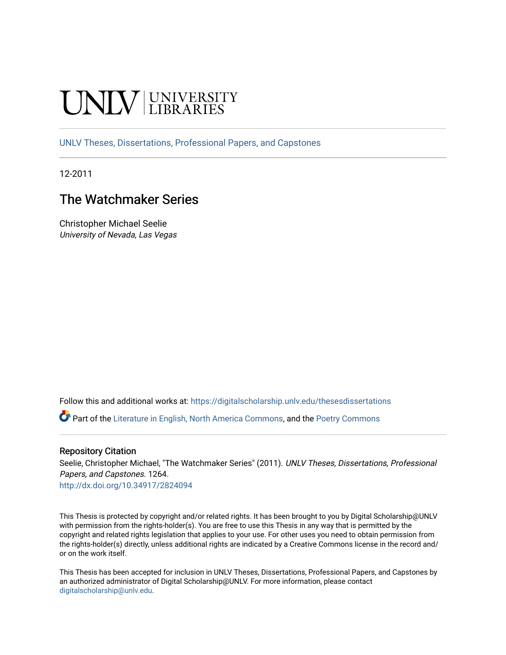# **INIVERSITY**

[UNLV Theses, Dissertations, Professional Papers, and Capstones](https://digitalscholarship.unlv.edu/thesesdissertations)

12-2011

# The Watchmaker Series

Christopher Michael Seelie University of Nevada, Las Vegas

Follow this and additional works at: [https://digitalscholarship.unlv.edu/thesesdissertations](https://digitalscholarship.unlv.edu/thesesdissertations?utm_source=digitalscholarship.unlv.edu%2Fthesesdissertations%2F1264&utm_medium=PDF&utm_campaign=PDFCoverPages)

Part of the [Literature in English, North America Commons,](http://network.bepress.com/hgg/discipline/458?utm_source=digitalscholarship.unlv.edu%2Fthesesdissertations%2F1264&utm_medium=PDF&utm_campaign=PDFCoverPages) and the [Poetry Commons](http://network.bepress.com/hgg/discipline/1153?utm_source=digitalscholarship.unlv.edu%2Fthesesdissertations%2F1264&utm_medium=PDF&utm_campaign=PDFCoverPages) 

#### Repository Citation

Seelie, Christopher Michael, "The Watchmaker Series" (2011). UNLV Theses, Dissertations, Professional Papers, and Capstones. 1264.

<http://dx.doi.org/10.34917/2824094>

This Thesis is protected by copyright and/or related rights. It has been brought to you by Digital Scholarship@UNLV with permission from the rights-holder(s). You are free to use this Thesis in any way that is permitted by the copyright and related rights legislation that applies to your use. For other uses you need to obtain permission from the rights-holder(s) directly, unless additional rights are indicated by a Creative Commons license in the record and/ or on the work itself.

This Thesis has been accepted for inclusion in UNLV Theses, Dissertations, Professional Papers, and Capstones by an authorized administrator of Digital Scholarship@UNLV. For more information, please contact [digitalscholarship@unlv.edu](mailto:digitalscholarship@unlv.edu).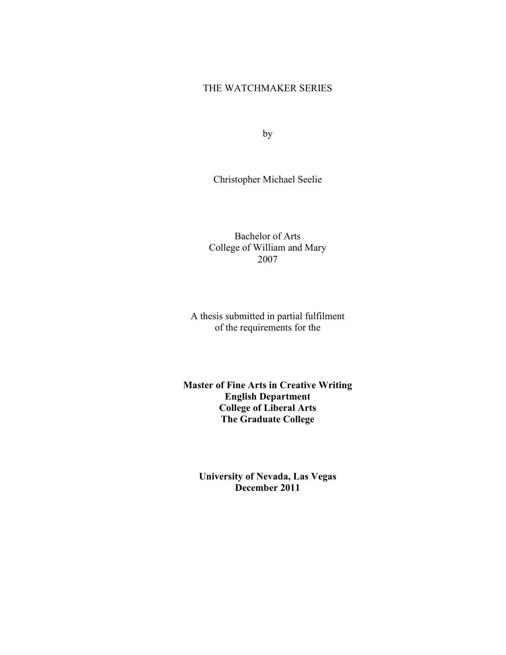# THE WATCHMAKER SERIES

by

Christopher Michael Seelie

Bachelor of Arts College of William and Mary 2007

A thesis submitted in partial fulfilment of the requirements for the

**Master of Fine Arts in Creative Writing English Department College of Liberal Arts The Graduate College** 

**University of Nevada, Las Vegas December 2011**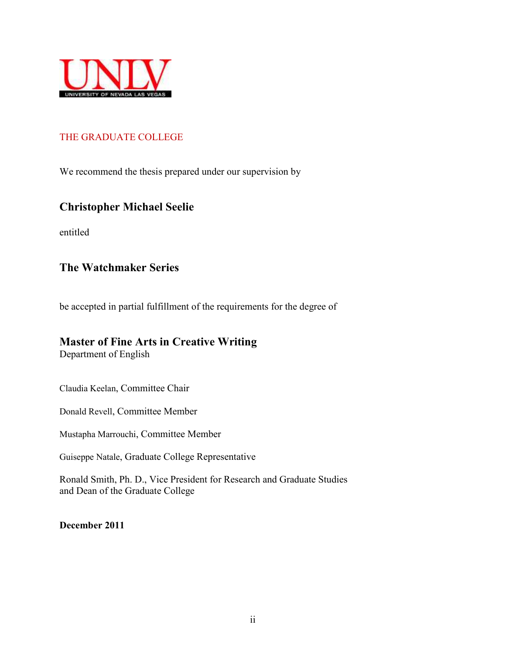

# THE GRADUATE COLLEGE

We recommend the thesis prepared under our supervision by

# **Christopher Michael Seelie**

entitled

# **The Watchmaker Series**

be accepted in partial fulfillment of the requirements for the degree of

# **Master of Fine Arts in Creative Writing**

Department of English

Claudia Keelan, Committee Chair

Donald Revell, Committee Member

Mustapha Marrouchi, Committee Member

Guiseppe Natale, Graduate College Representative

Ronald Smith, Ph. D., Vice President for Research and Graduate Studies and Dean of the Graduate College

**December 2011**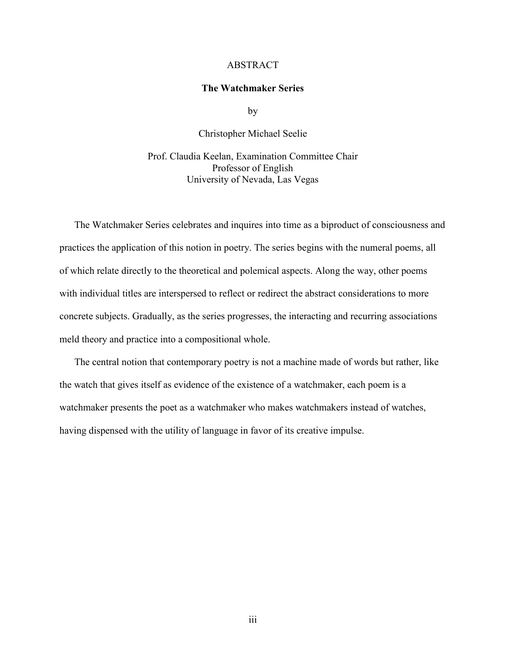#### ABSTRACT

#### **The Watchmaker Series**

by

Christopher Michael Seelie

Prof. Claudia Keelan, Examination Committee Chair Professor of English University of Nevada, Las Vegas

The Watchmaker Series celebrates and inquires into time as a biproduct of consciousness and practices the application of this notion in poetry. The series begins with the numeral poems, all of which relate directly to the theoretical and polemical aspects. Along the way, other poems with individual titles are interspersed to reflect or redirect the abstract considerations to more concrete subjects. Gradually, as the series progresses, the interacting and recurring associations meld theory and practice into a compositional whole.

The central notion that contemporary poetry is not a machine made of words but rather, like the watch that gives itself as evidence of the existence of a watchmaker, each poem is a watchmaker presents the poet as a watchmaker who makes watchmakers instead of watches, having dispensed with the utility of language in favor of its creative impulse.

iii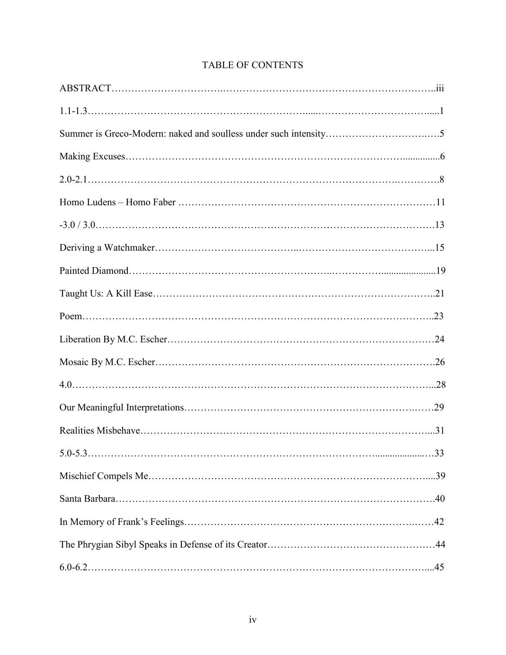# TABLE OF CONTENTS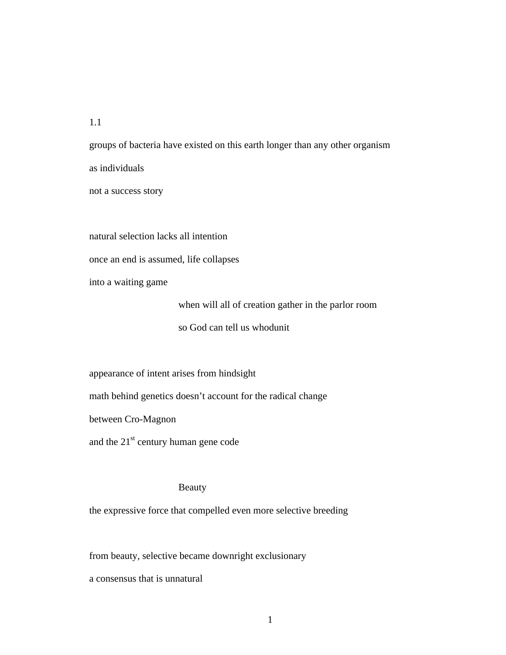1.1

groups of bacteria have existed on this earth longer than any other organism as individuals not a success story

natural selection lacks all intention

once an end is assumed, life collapses

into a waiting game

when will all of creation gather in the parlor room so God can tell us whodunit

appearance of intent arises from hindsight

math behind genetics doesn't account for the radical change

between Cro-Magnon

and the  $21<sup>st</sup>$  century human gene code

#### Beauty

the expressive force that compelled even more selective breeding

from beauty, selective became downright exclusionary

a consensus that is unnatural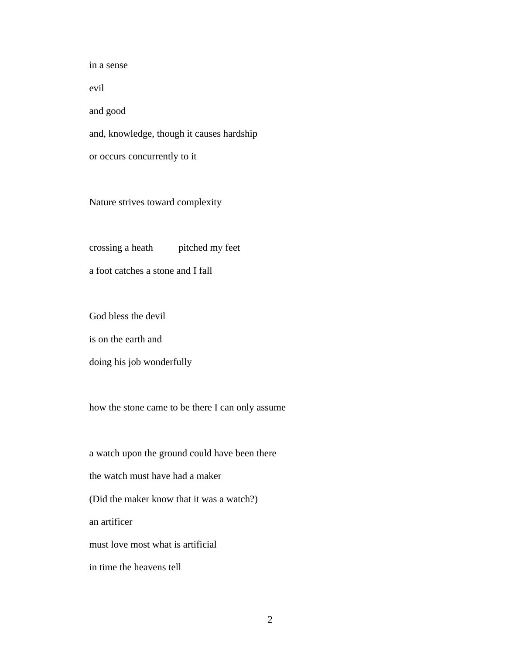in a sense evil and good and, knowledge, though it causes hardship or occurs concurrently to it

Nature strives toward complexity

crossing a heath pitched my feet

a foot catches a stone and I fall

God bless the devil

is on the earth and

doing his job wonderfully

how the stone came to be there I can only assume

a watch upon the ground could have been there the watch must have had a maker (Did the maker know that it was a watch?) an artificer must love most what is artificial in time the heavens tell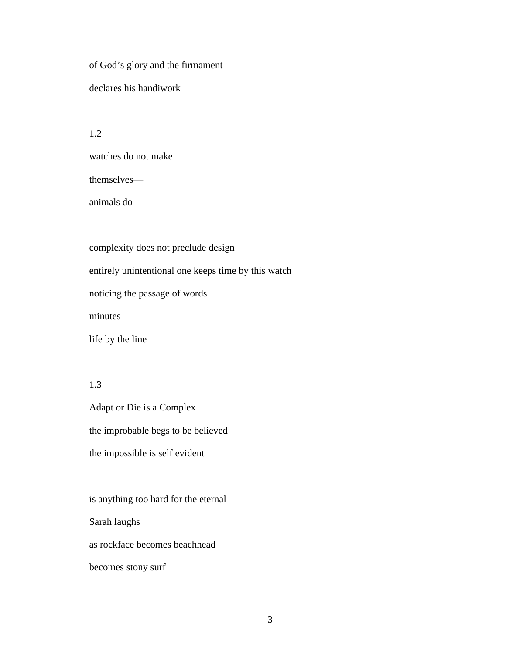of God's glory and the firmament declares his handiwork

1.2

watches do not make

themselves—

animals do

complexity does not preclude design entirely unintentional one keeps time by this watch noticing the passage of words minutes life by the line

1.3

Adapt or Die is a Complex the improbable begs to be believed the impossible is self evident

is anything too hard for the eternal Sarah laughs as rockface becomes beachhead becomes stony surf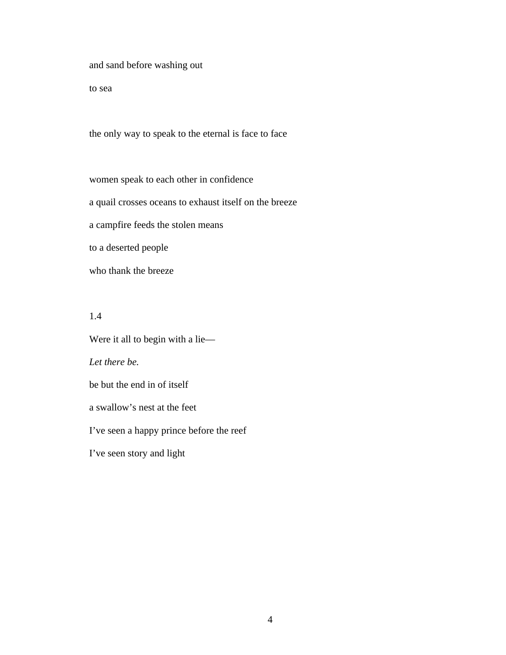and sand before washing out

to sea

the only way to speak to the eternal is face to face

women speak to each other in confidence a quail crosses oceans to exhaust itself on the breeze a campfire feeds the stolen means to a deserted people who thank the breeze

1.4

Were it all to begin with a lie— *Let there be.* be but the end in of itself a swallow's nest at the feet I've seen a happy prince before the reef I've seen story and light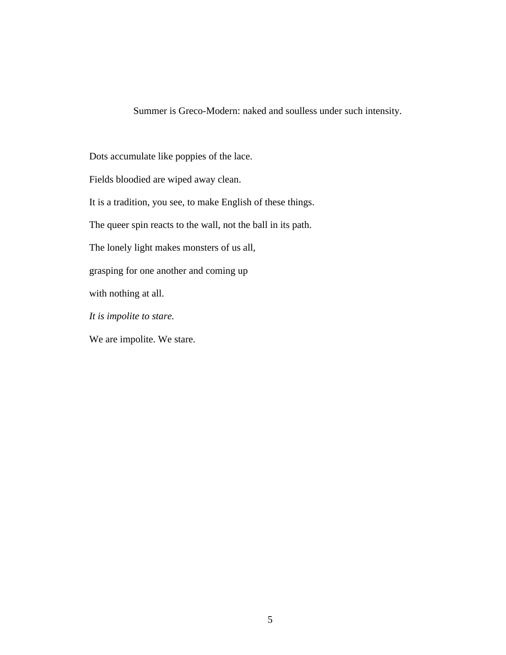Summer is Greco-Modern: naked and soulless under such intensity.

Dots accumulate like poppies of the lace.

Fields bloodied are wiped away clean.

It is a tradition, you see, to make English of these things.

The queer spin reacts to the wall, not the ball in its path.

The lonely light makes monsters of us all,

grasping for one another and coming up

with nothing at all.

*It is impolite to stare.* 

We are impolite. We stare.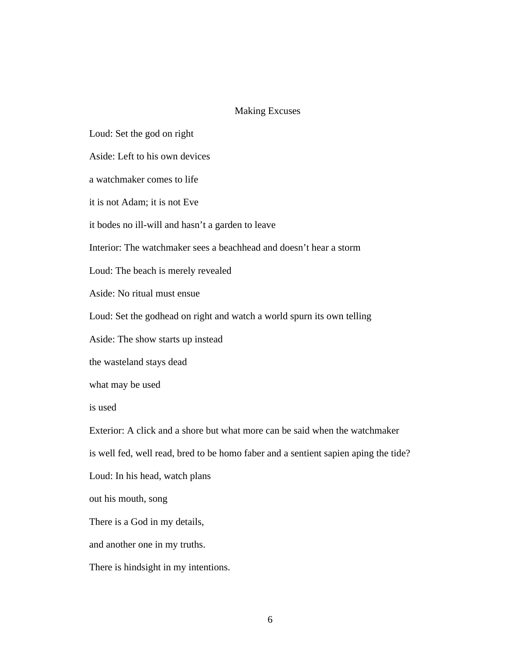#### Making Excuses

Loud: Set the god on right

Aside: Left to his own devices

a watchmaker comes to life

it is not Adam; it is not Eve

it bodes no ill-will and hasn't a garden to leave

Interior: The watchmaker sees a beachhead and doesn't hear a storm

Loud: The beach is merely revealed

Aside: No ritual must ensue

Loud: Set the godhead on right and watch a world spurn its own telling

Aside: The show starts up instead

the wasteland stays dead

what may be used

is used

Exterior: A click and a shore but what more can be said when the watchmaker is well fed, well read, bred to be homo faber and a sentient sapien aping the tide?

Loud: In his head, watch plans

out his mouth, song

There is a God in my details,

and another one in my truths.

There is hindsight in my intentions.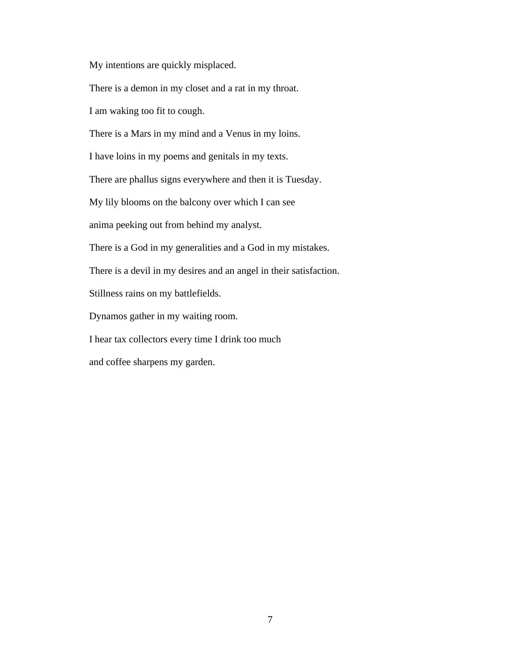My intentions are quickly misplaced.

There is a demon in my closet and a rat in my throat.

I am waking too fit to cough.

There is a Mars in my mind and a Venus in my loins.

I have loins in my poems and genitals in my texts.

There are phallus signs everywhere and then it is Tuesday.

My lily blooms on the balcony over which I can see

anima peeking out from behind my analyst.

There is a God in my generalities and a God in my mistakes.

There is a devil in my desires and an angel in their satisfaction.

Stillness rains on my battlefields.

Dynamos gather in my waiting room.

I hear tax collectors every time I drink too much

and coffee sharpens my garden.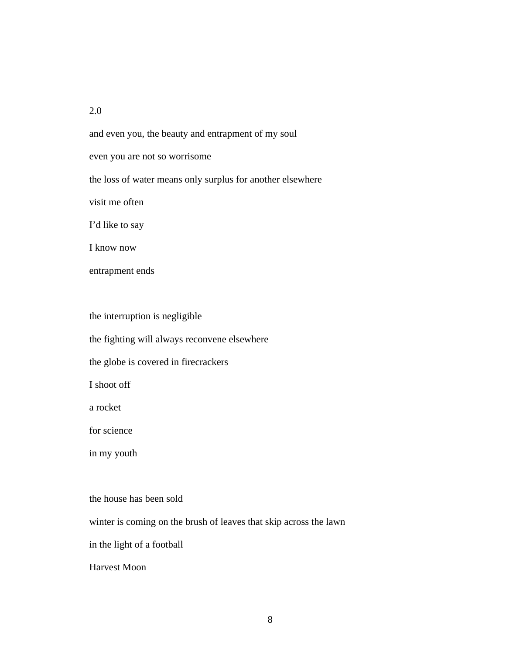#### 2.0

and even you, the beauty and entrapment of my soul even you are not so worrisome the loss of water means only surplus for another elsewhere visit me often I'd like to say I know now

entrapment ends

the interruption is negligible

the fighting will always reconvene elsewhere

the globe is covered in firecrackers

I shoot off

a rocket

for science

in my youth

the house has been sold

winter is coming on the brush of leaves that skip across the lawn

in the light of a football

Harvest Moon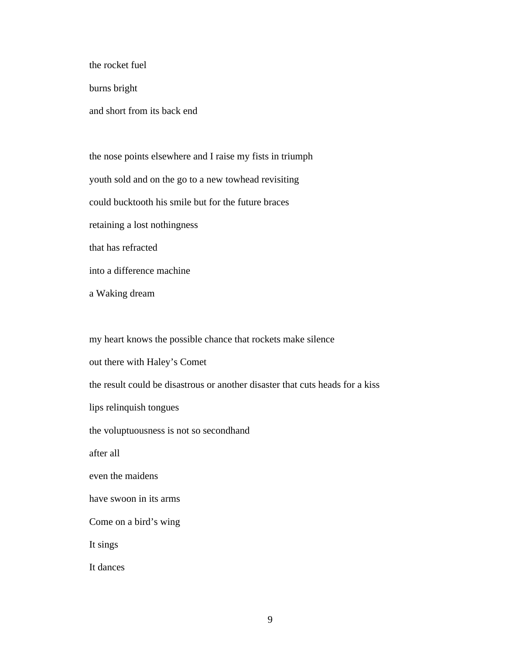the rocket fuel

burns bright

and short from its back end

the nose points elsewhere and I raise my fists in triumph youth sold and on the go to a new towhead revisiting could bucktooth his smile but for the future braces retaining a lost nothingness that has refracted into a difference machine

a Waking dream

my heart knows the possible chance that rockets make silence out there with Haley's Comet the result could be disastrous or another disaster that cuts heads for a kiss lips relinquish tongues the voluptuousness is not so secondhand after all even the maidens have swoon in its arms Come on a bird's wing It sings It dances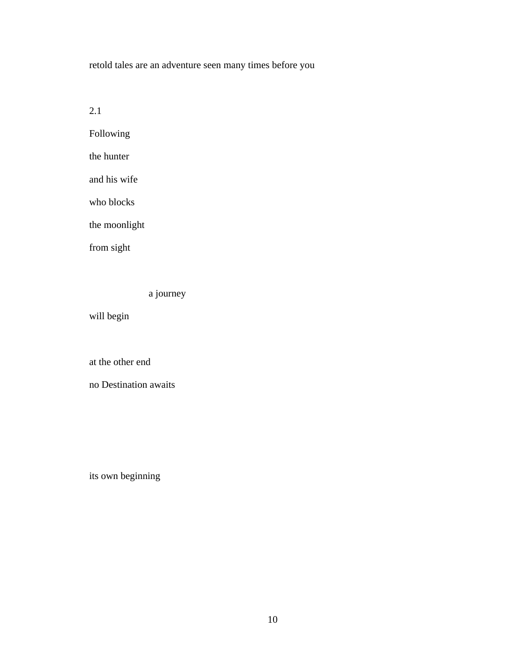retold tales are an adventure seen many times before you

2.1

Following

the hunter

and his wife

who blocks

the moonlight

from sight

a journey

will begin

at the other end

no Destination awaits

its own beginning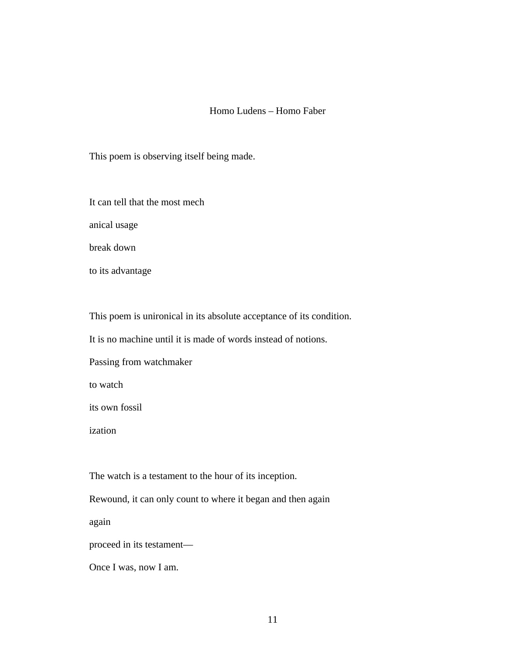## Homo Ludens – Homo Faber

This poem is observing itself being made.

It can tell that the most mech

anical usage

break down

to its advantage

This poem is unironical in its absolute acceptance of its condition.

It is no machine until it is made of words instead of notions.

Passing from watchmaker

to watch

its own fossil

ization

The watch is a testament to the hour of its inception.

Rewound, it can only count to where it began and then again

again

proceed in its testament—

Once I was, now I am.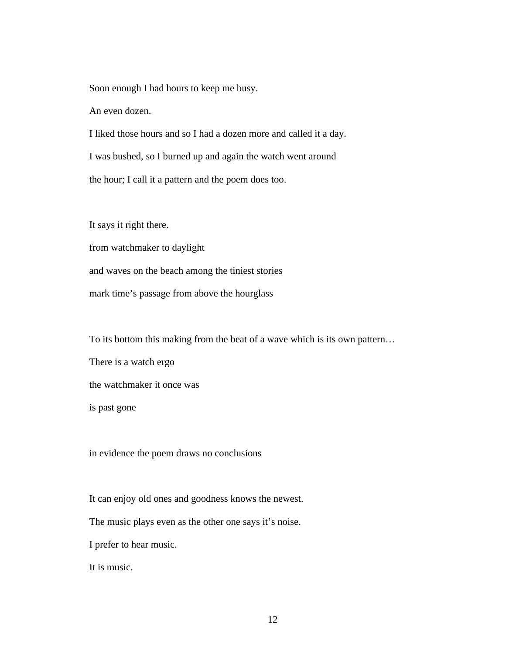Soon enough I had hours to keep me busy.

An even dozen.

I liked those hours and so I had a dozen more and called it a day. I was bushed, so I burned up and again the watch went around the hour; I call it a pattern and the poem does too.

It says it right there.

from watchmaker to daylight and waves on the beach among the tiniest stories mark time's passage from above the hourglass

To its bottom this making from the beat of a wave which is its own pattern…

There is a watch ergo the watchmaker it once was is past gone

in evidence the poem draws no conclusions

It can enjoy old ones and goodness knows the newest.

The music plays even as the other one says it's noise.

I prefer to hear music.

It is music.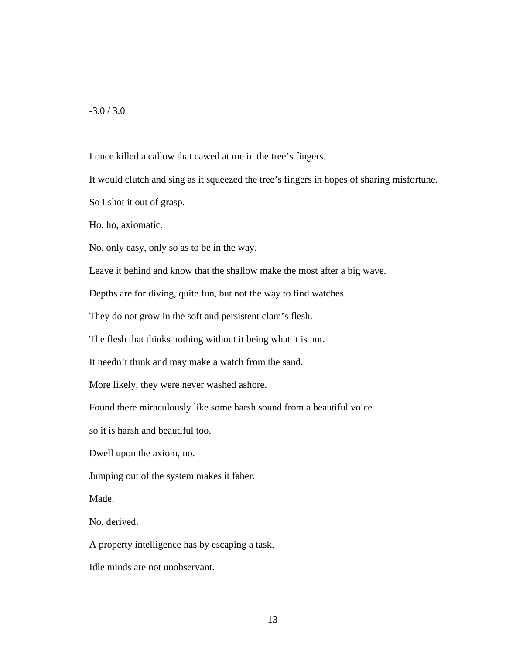$-3.0 / 3.0$ 

I once killed a callow that cawed at me in the tree's fingers.

It would clutch and sing as it squeezed the tree's fingers in hopes of sharing misfortune.

So I shot it out of grasp.

Ho, ho, axiomatic.

No, only easy, only so as to be in the way.

Leave it behind and know that the shallow make the most after a big wave.

Depths are for diving, quite fun, but not the way to find watches.

They do not grow in the soft and persistent clam's flesh.

The flesh that thinks nothing without it being what it is not.

It needn't think and may make a watch from the sand.

More likely, they were never washed ashore.

Found there miraculously like some harsh sound from a beautiful voice

so it is harsh and beautiful too.

Dwell upon the axiom, no.

Jumping out of the system makes it faber.

Made.

No, derived.

A property intelligence has by escaping a task.

Idle minds are not unobservant.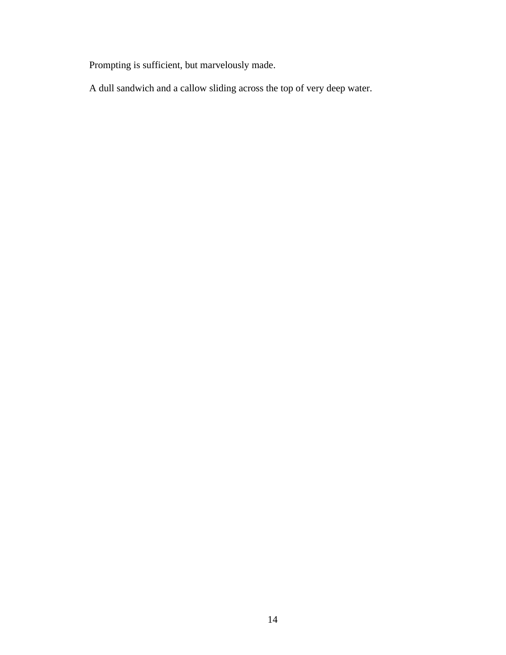Prompting is sufficient, but marvelously made.

A dull sandwich and a callow sliding across the top of very deep water.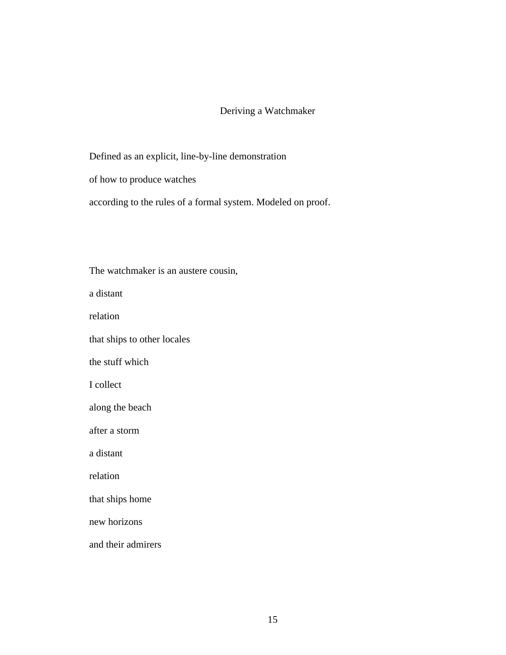# Deriving a Watchmaker

Defined as an explicit, line-by-line demonstration

of how to produce watches

according to the rules of a formal system. Modeled on proof.

The watchmaker is an austere cousin, a distant relation that ships to other locales the stuff which I collect along the beach after a storm a distant relation that ships home new horizons and their admirers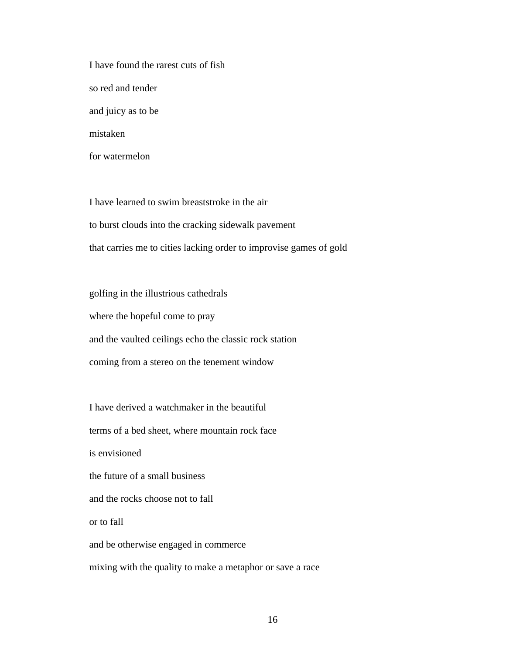I have found the rarest cuts of fish so red and tender and juicy as to be mistaken for watermelon

I have learned to swim breaststroke in the air to burst clouds into the cracking sidewalk pavement that carries me to cities lacking order to improvise games of gold

golfing in the illustrious cathedrals where the hopeful come to pray and the vaulted ceilings echo the classic rock station coming from a stereo on the tenement window

I have derived a watchmaker in the beautiful terms of a bed sheet, where mountain rock face is envisioned the future of a small business and the rocks choose not to fall or to fall and be otherwise engaged in commerce mixing with the quality to make a metaphor or save a race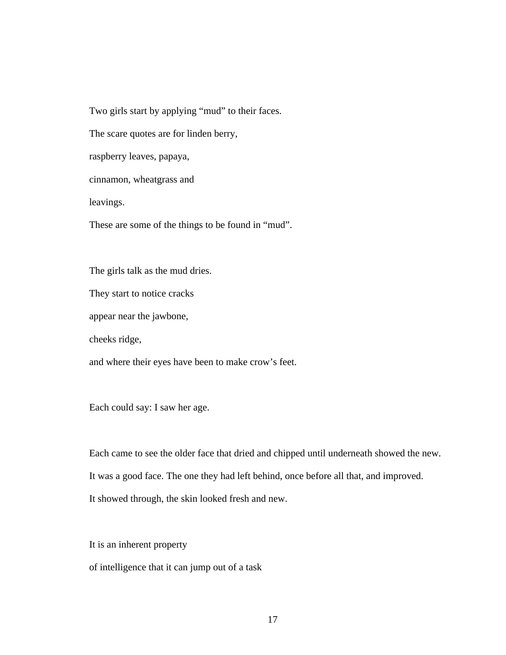Two girls start by applying "mud" to their faces.

The scare quotes are for linden berry,

raspberry leaves, papaya,

cinnamon, wheatgrass and

leavings.

These are some of the things to be found in "mud".

The girls talk as the mud dries.

They start to notice cracks

appear near the jawbone,

cheeks ridge,

and where their eyes have been to make crow's feet.

Each could say: I saw her age.

Each came to see the older face that dried and chipped until underneath showed the new. It was a good face. The one they had left behind, once before all that, and improved. It showed through, the skin looked fresh and new.

It is an inherent property

of intelligence that it can jump out of a task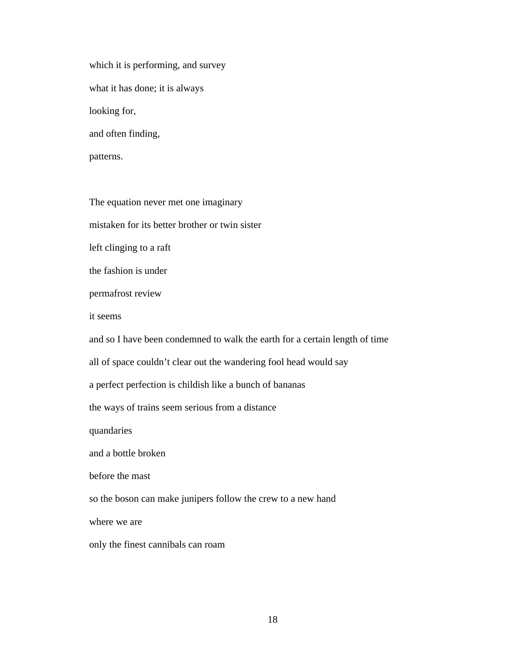which it is performing, and survey what it has done; it is always looking for, and often finding, patterns.

The equation never met one imaginary

mistaken for its better brother or twin sister

left clinging to a raft

the fashion is under

permafrost review

it seems

and so I have been condemned to walk the earth for a certain length of time

all of space couldn't clear out the wandering fool head would say

a perfect perfection is childish like a bunch of bananas

the ways of trains seem serious from a distance

quandaries

and a bottle broken

before the mast

so the boson can make junipers follow the crew to a new hand

where we are

only the finest cannibals can roam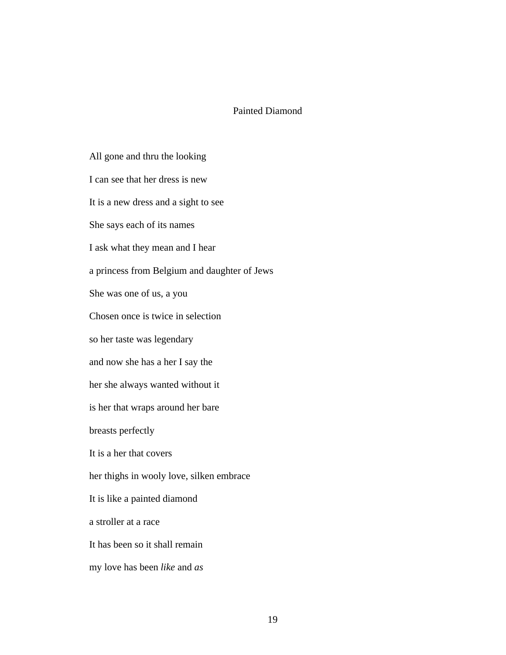## Painted Diamond

All gone and thru the looking I can see that her dress is new It is a new dress and a sight to see She says each of its names I ask what they mean and I hear a princess from Belgium and daughter of Jews She was one of us, a you Chosen once is twice in selection so her taste was legendary and now she has a her I say the her she always wanted without it is her that wraps around her bare breasts perfectly It is a her that covers her thighs in wooly love, silken embrace It is like a painted diamond a stroller at a race It has been so it shall remain my love has been *like* and *as*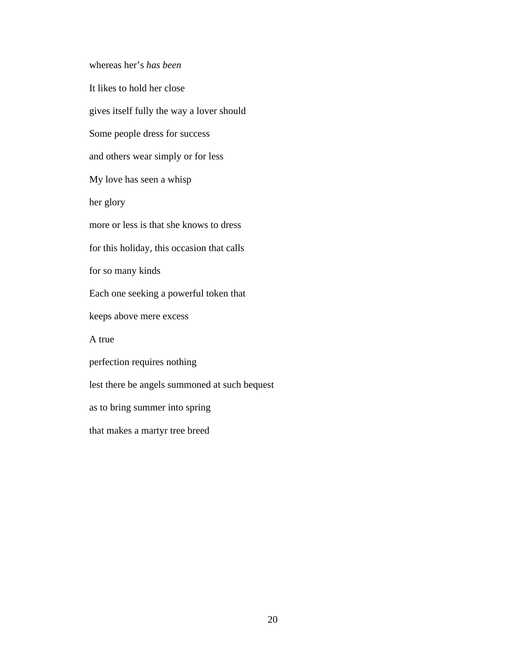whereas her's *has been*

It likes to hold her close gives itself fully the way a lover should Some people dress for success and others wear simply or for less My love has seen a whisp her glory more or less is that she knows to dress for this holiday, this occasion that calls for so many kinds Each one seeking a powerful token that keeps above mere excess A true perfection requires nothing lest there be angels summoned at such bequest as to bring summer into spring that makes a martyr tree breed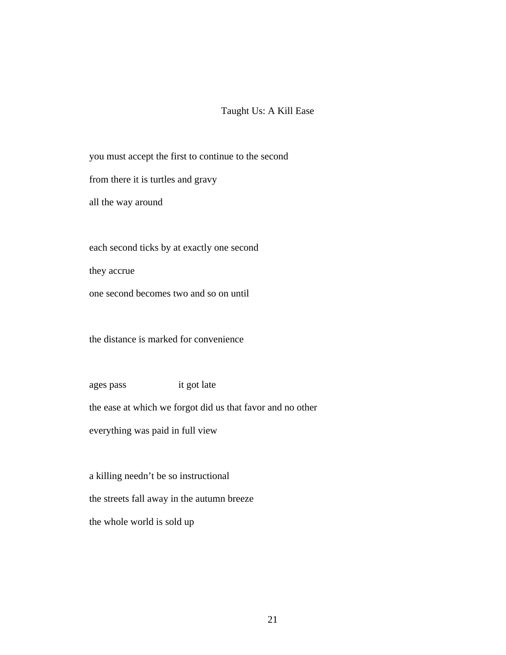# Taught Us: A Kill Ease

you must accept the first to continue to the second

from there it is turtles and gravy

all the way around

each second ticks by at exactly one second

they accrue

one second becomes two and so on until

the distance is marked for convenience

ages pass it got late

the ease at which we forgot did us that favor and no other

everything was paid in full view

a killing needn't be so instructional the streets fall away in the autumn breeze the whole world is sold up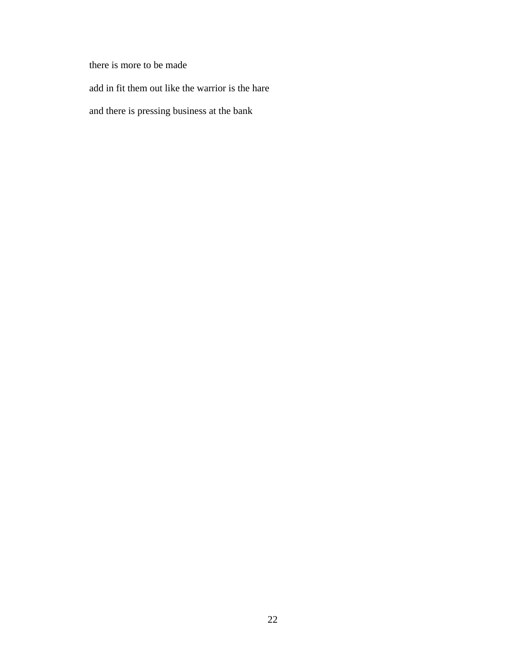there is more to be made

add in fit them out like the warrior is the hare

and there is pressing business at the bank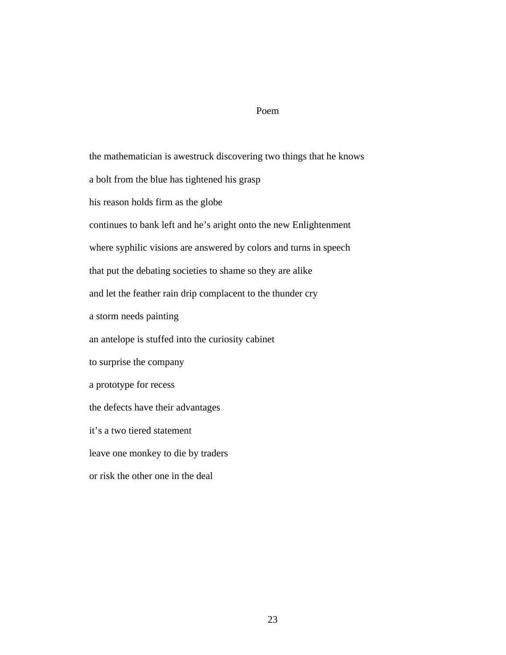#### Poem

the mathematician is awestruck discovering two things that he knows a bolt from the blue has tightened his grasp his reason holds firm as the globe continues to bank left and he's aright onto the new Enlightenment where syphilic visions are answered by colors and turns in speech that put the debating societies to shame so they are alike and let the feather rain drip complacent to the thunder cry a storm needs painting an antelope is stuffed into the curiosity cabinet to surprise the company a prototype for recess the defects have their advantages it's a two tiered statement leave one monkey to die by traders or risk the other one in the deal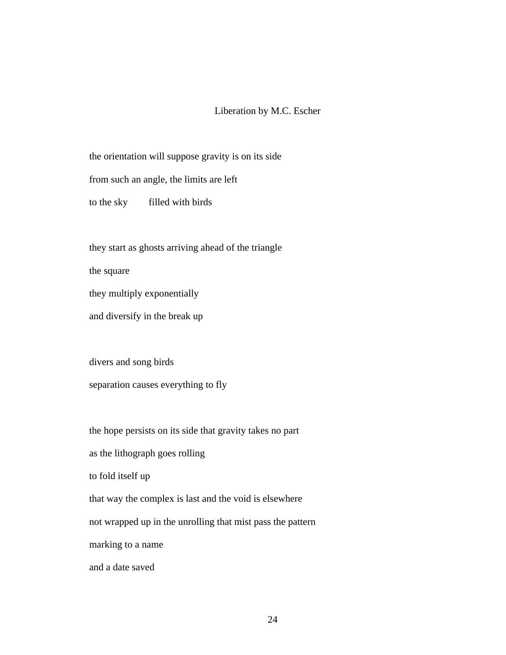## Liberation by M.C. Escher

the orientation will suppose gravity is on its side

from such an angle, the limits are left

to the sky filled with birds

they start as ghosts arriving ahead of the triangle

the square

they multiply exponentially

and diversify in the break up

divers and song birds separation causes everything to fly

the hope persists on its side that gravity takes no part

as the lithograph goes rolling

to fold itself up

that way the complex is last and the void is elsewhere

not wrapped up in the unrolling that mist pass the pattern

marking to a name

and a date saved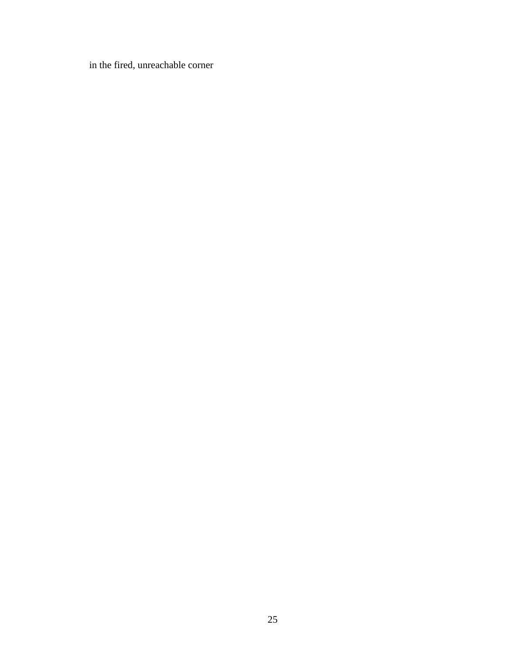in the fired, unreachable corner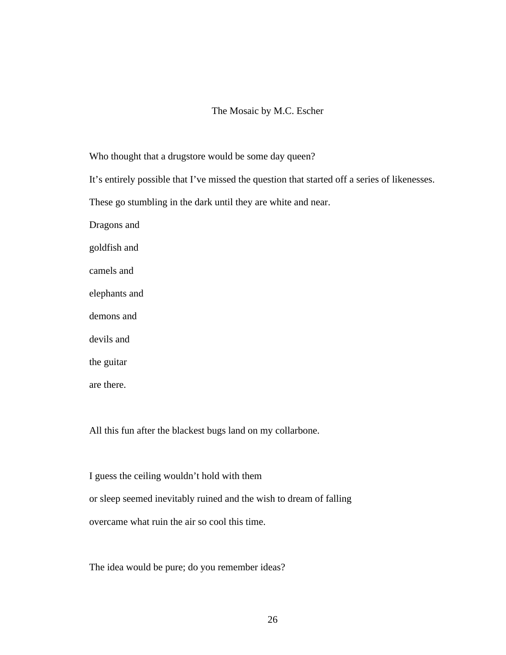# The Mosaic by M.C. Escher

Who thought that a drugstore would be some day queen?

It's entirely possible that I've missed the question that started off a series of likenesses.

These go stumbling in the dark until they are white and near.

Dragons and

goldfish and

camels and

elephants and

demons and

devils and

the guitar

are there.

All this fun after the blackest bugs land on my collarbone.

I guess the ceiling wouldn't hold with them or sleep seemed inevitably ruined and the wish to dream of falling overcame what ruin the air so cool this time.

The idea would be pure; do you remember ideas?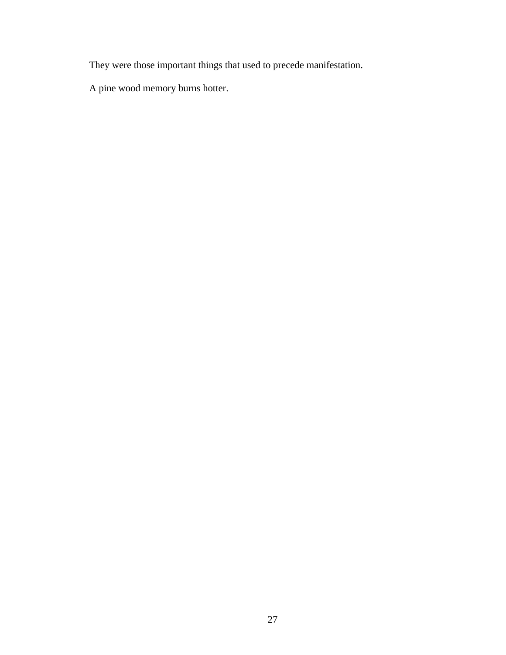They were those important things that used to precede manifestation.

A pine wood memory burns hotter.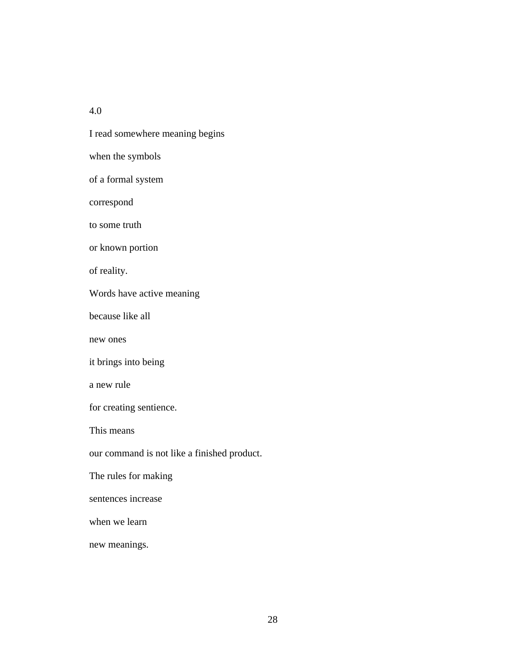4.0

I read somewhere meaning begins when the symbols of a formal system correspond to some truth or known portion of reality. Words have active meaning because like all new ones it brings into being a new rule for creating sentience. This means our command is not like a finished product. The rules for making sentences increase when we learn new meanings.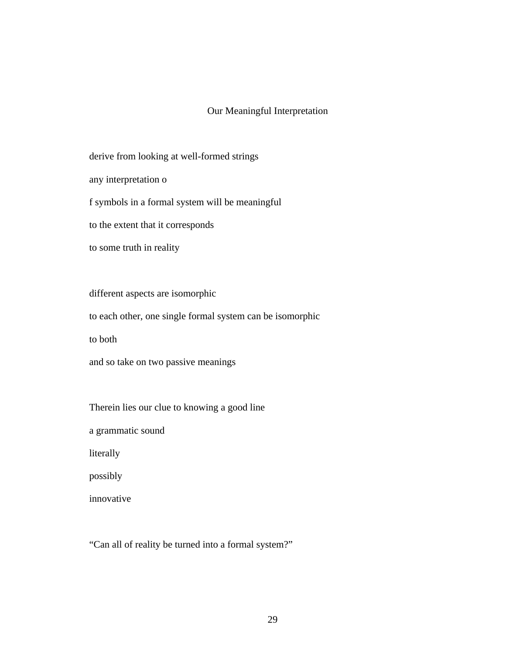# Our Meaningful Interpretation

derive from looking at well-formed strings

any interpretation o

f symbols in a formal system will be meaningful

to the extent that it corresponds

to some truth in reality

different aspects are isomorphic

to each other, one single formal system can be isomorphic

to both

and so take on two passive meanings

Therein lies our clue to knowing a good line

a grammatic sound

literally

possibly

innovative

"Can all of reality be turned into a formal system?"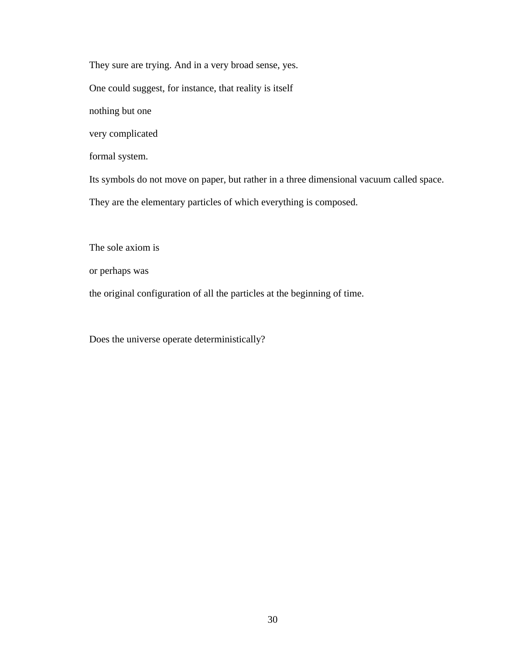They sure are trying. And in a very broad sense, yes.

One could suggest, for instance, that reality is itself

nothing but one

very complicated

formal system.

Its symbols do not move on paper, but rather in a three dimensional vacuum called space.

They are the elementary particles of which everything is composed.

The sole axiom is

or perhaps was

the original configuration of all the particles at the beginning of time.

Does the universe operate deterministically?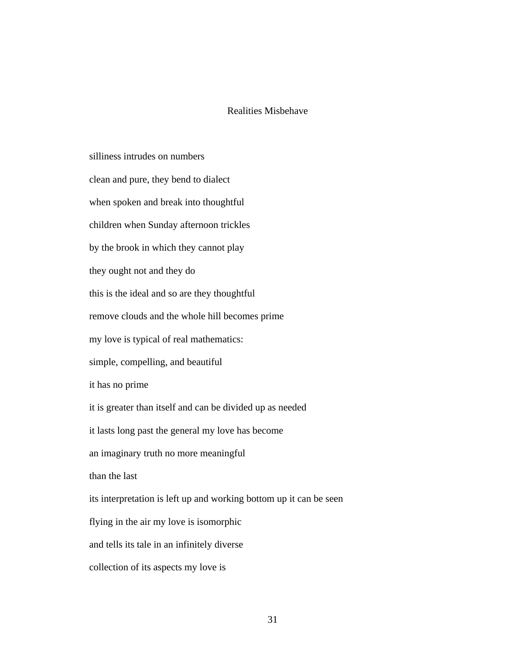### Realities Misbehave

silliness intrudes on numbers clean and pure, they bend to dialect when spoken and break into thoughtful children when Sunday afternoon trickles by the brook in which they cannot play they ought not and they do this is the ideal and so are they thoughtful remove clouds and the whole hill becomes prime my love is typical of real mathematics: simple, compelling, and beautiful it has no prime it is greater than itself and can be divided up as needed it lasts long past the general my love has become an imaginary truth no more meaningful than the last its interpretation is left up and working bottom up it can be seen flying in the air my love is isomorphic and tells its tale in an infinitely diverse collection of its aspects my love is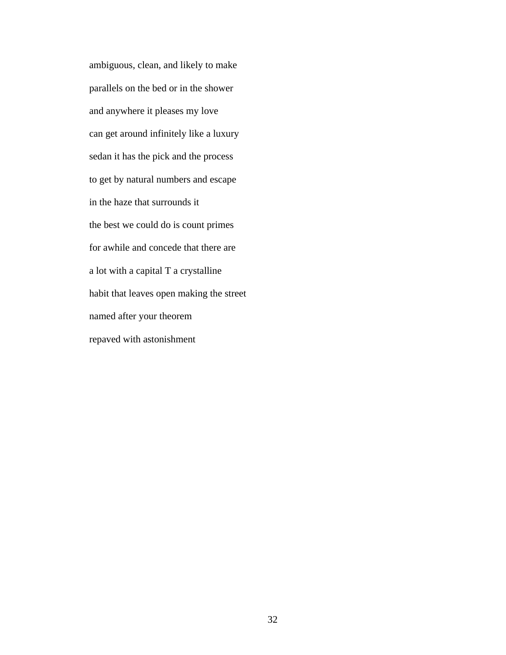ambiguous, clean, and likely to make parallels on the bed or in the shower and anywhere it pleases my love can get around infinitely like a luxury sedan it has the pick and the process to get by natural numbers and escape in the haze that surrounds it the best we could do is count primes for awhile and concede that there are a lot with a capital T a crystalline habit that leaves open making the street named after your theorem repaved with astonishment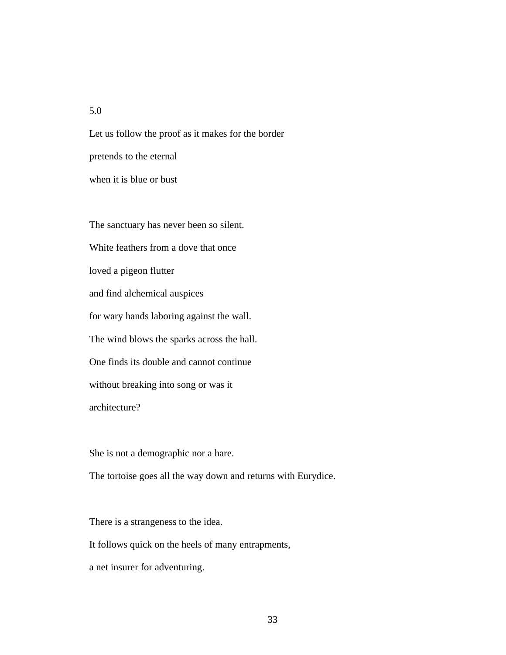### 5.0

Let us follow the proof as it makes for the border pretends to the eternal when it is blue or bust

The sanctuary has never been so silent. White feathers from a dove that once loved a pigeon flutter and find alchemical auspices for wary hands laboring against the wall. The wind blows the sparks across the hall. One finds its double and cannot continue without breaking into song or was it architecture?

She is not a demographic nor a hare.

The tortoise goes all the way down and returns with Eurydice.

There is a strangeness to the idea.

It follows quick on the heels of many entrapments,

a net insurer for adventuring.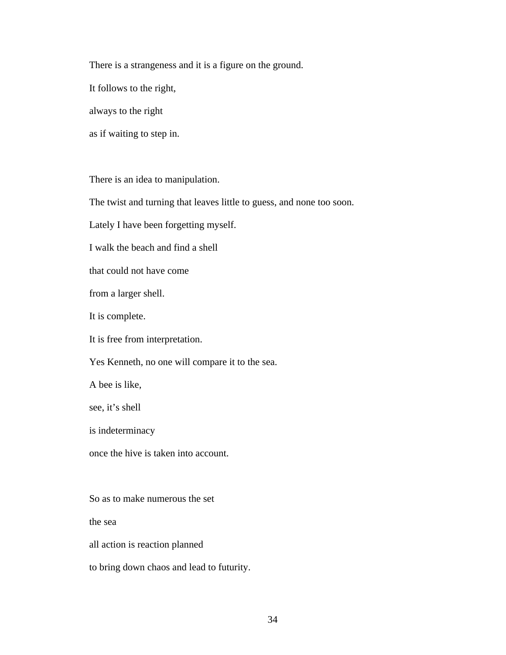There is a strangeness and it is a figure on the ground.

It follows to the right,

always to the right

as if waiting to step in.

There is an idea to manipulation.

The twist and turning that leaves little to guess, and none too soon.

Lately I have been forgetting myself.

I walk the beach and find a shell

that could not have come

from a larger shell.

It is complete.

It is free from interpretation.

Yes Kenneth, no one will compare it to the sea.

A bee is like,

see, it's shell

is indeterminacy

once the hive is taken into account.

So as to make numerous the set

the sea

all action is reaction planned

to bring down chaos and lead to futurity.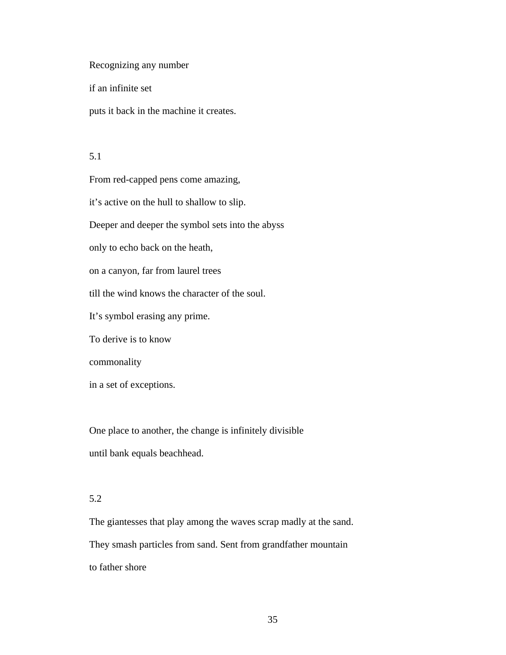Recognizing any number

if an infinite set

puts it back in the machine it creates.

### 5.1

From red-capped pens come amazing, it's active on the hull to shallow to slip. Deeper and deeper the symbol sets into the abyss only to echo back on the heath, on a canyon, far from laurel trees till the wind knows the character of the soul. It's symbol erasing any prime. To derive is to know commonality in a set of exceptions.

One place to another, the change is infinitely divisible until bank equals beachhead.

#### 5.2

The giantesses that play among the waves scrap madly at the sand. They smash particles from sand. Sent from grandfather mountain to father shore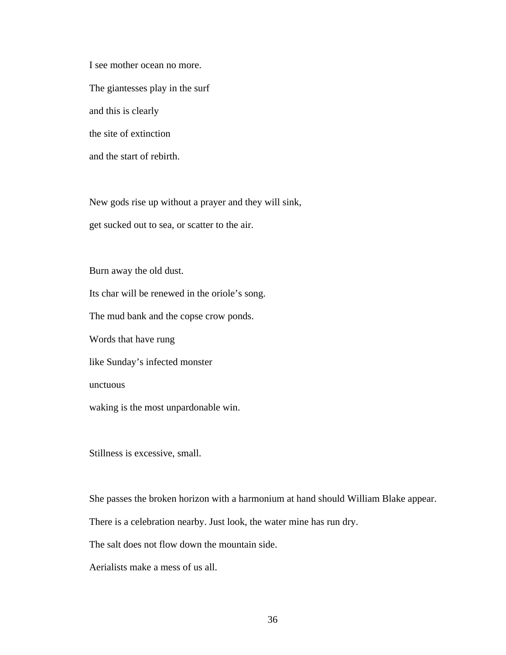I see mother ocean no more. The giantesses play in the surf and this is clearly the site of extinction and the start of rebirth.

New gods rise up without a prayer and they will sink,

get sucked out to sea, or scatter to the air.

Burn away the old dust.

Its char will be renewed in the oriole's song.

The mud bank and the copse crow ponds.

Words that have rung

like Sunday's infected monster

unctuous

waking is the most unpardonable win.

Stillness is excessive, small.

She passes the broken horizon with a harmonium at hand should William Blake appear.

There is a celebration nearby. Just look, the water mine has run dry.

The salt does not flow down the mountain side.

Aerialists make a mess of us all.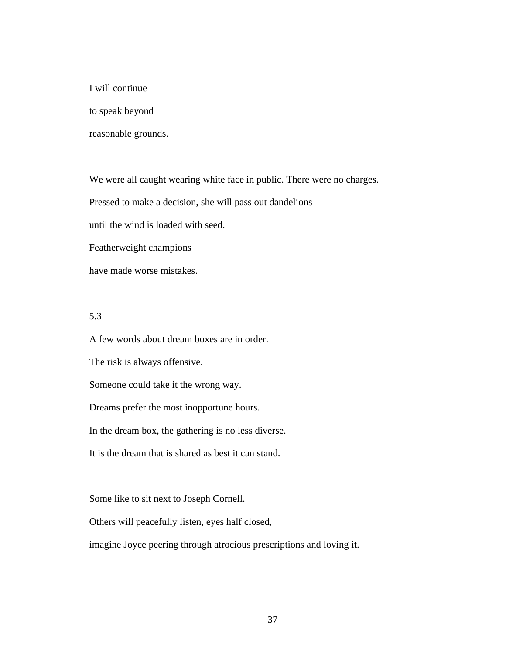I will continue

to speak beyond

reasonable grounds.

We were all caught wearing white face in public. There were no charges.

Pressed to make a decision, she will pass out dandelions

until the wind is loaded with seed.

Featherweight champions

have made worse mistakes.

#### 5.3

A few words about dream boxes are in order. The risk is always offensive. Someone could take it the wrong way. Dreams prefer the most inopportune hours. In the dream box, the gathering is no less diverse. It is the dream that is shared as best it can stand.

Some like to sit next to Joseph Cornell.

Others will peacefully listen, eyes half closed,

imagine Joyce peering through atrocious prescriptions and loving it.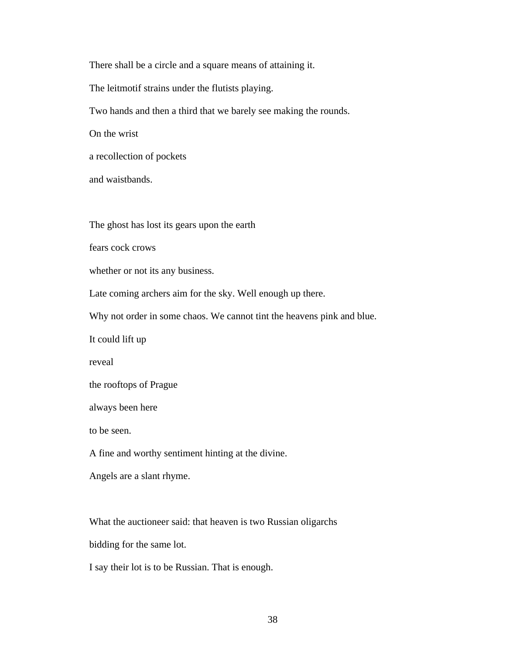There shall be a circle and a square means of attaining it. The leitmotif strains under the flutists playing. Two hands and then a third that we barely see making the rounds. On the wrist a recollection of pockets and waistbands.

The ghost has lost its gears upon the earth

fears cock crows

whether or not its any business.

Late coming archers aim for the sky. Well enough up there.

Why not order in some chaos. We cannot tint the heavens pink and blue.

It could lift up

reveal

```
the rooftops of Prague
```
always been here

to be seen.

A fine and worthy sentiment hinting at the divine.

Angels are a slant rhyme.

What the auctioneer said: that heaven is two Russian oligarchs

bidding for the same lot.

I say their lot is to be Russian. That is enough.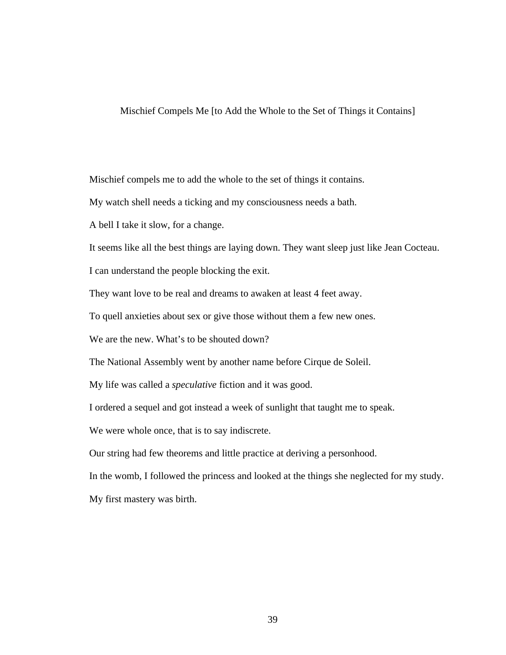Mischief Compels Me [to Add the Whole to the Set of Things it Contains]

Mischief compels me to add the whole to the set of things it contains.

My watch shell needs a ticking and my consciousness needs a bath.

A bell I take it slow, for a change.

It seems like all the best things are laying down. They want sleep just like Jean Cocteau.

I can understand the people blocking the exit.

They want love to be real and dreams to awaken at least 4 feet away.

To quell anxieties about sex or give those without them a few new ones.

We are the new. What's to be shouted down?

The National Assembly went by another name before Cirque de Soleil.

My life was called a *speculative* fiction and it was good.

I ordered a sequel and got instead a week of sunlight that taught me to speak.

We were whole once, that is to say indiscrete.

Our string had few theorems and little practice at deriving a personhood.

In the womb, I followed the princess and looked at the things she neglected for my study.

My first mastery was birth.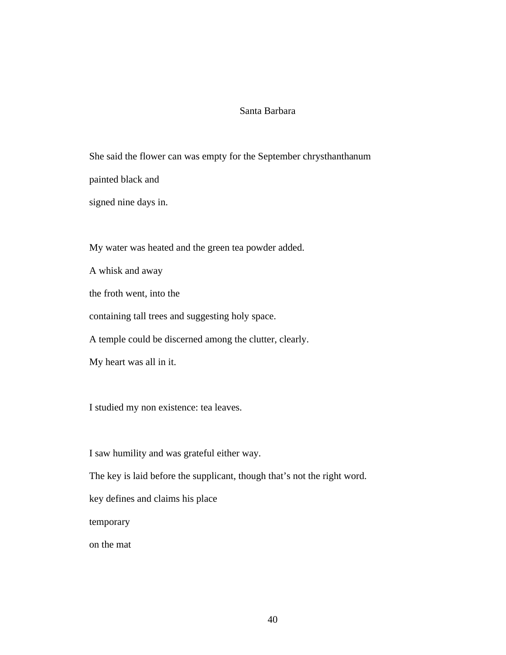### Santa Barbara

She said the flower can was empty for the September chrysthanthanum painted black and

signed nine days in.

My water was heated and the green tea powder added.

A whisk and away

the froth went, into the

containing tall trees and suggesting holy space.

A temple could be discerned among the clutter, clearly.

My heart was all in it.

I studied my non existence: tea leaves.

I saw humility and was grateful either way.

The key is laid before the supplicant, though that's not the right word.

key defines and claims his place

temporary

on the mat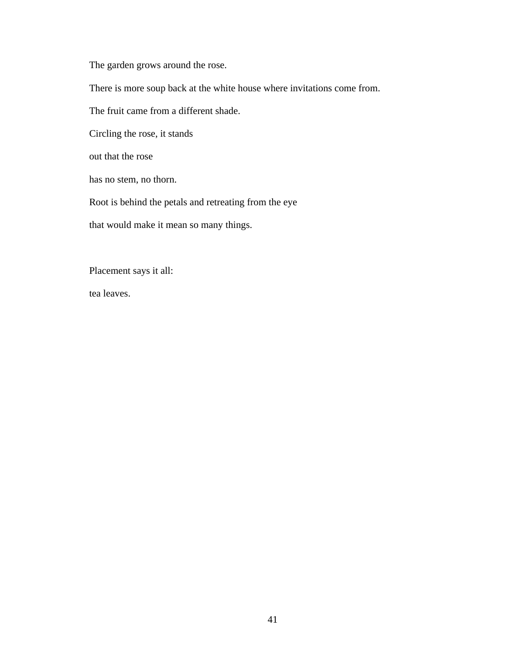The garden grows around the rose.

There is more soup back at the white house where invitations come from.

The fruit came from a different shade.

Circling the rose, it stands

out that the rose

has no stem, no thorn.

Root is behind the petals and retreating from the eye

that would make it mean so many things.

Placement says it all:

tea leaves.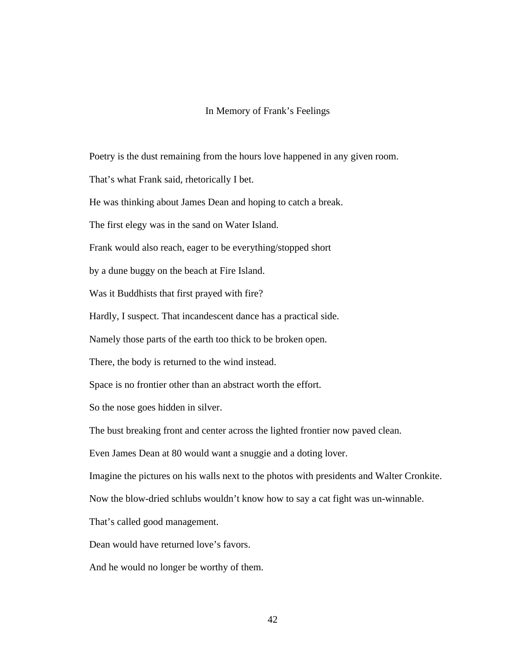#### In Memory of Frank's Feelings

Poetry is the dust remaining from the hours love happened in any given room.

That's what Frank said, rhetorically I bet.

He was thinking about James Dean and hoping to catch a break.

The first elegy was in the sand on Water Island.

Frank would also reach, eager to be everything/stopped short

by a dune buggy on the beach at Fire Island.

Was it Buddhists that first prayed with fire?

Hardly, I suspect. That incandescent dance has a practical side.

Namely those parts of the earth too thick to be broken open.

There, the body is returned to the wind instead.

Space is no frontier other than an abstract worth the effort.

So the nose goes hidden in silver.

The bust breaking front and center across the lighted frontier now paved clean.

Even James Dean at 80 would want a snuggie and a doting lover.

Imagine the pictures on his walls next to the photos with presidents and Walter Cronkite.

Now the blow-dried schlubs wouldn't know how to say a cat fight was un-winnable.

That's called good management.

Dean would have returned love's favors.

And he would no longer be worthy of them.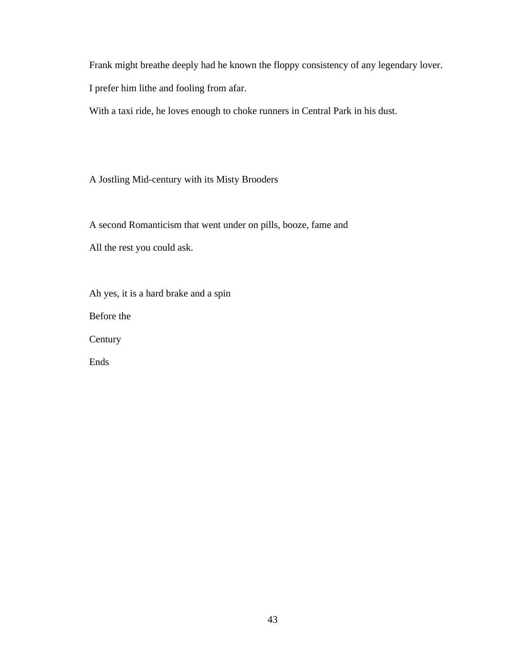Frank might breathe deeply had he known the floppy consistency of any legendary lover.

I prefer him lithe and fooling from afar.

With a taxi ride, he loves enough to choke runners in Central Park in his dust.

A Jostling Mid-century with its Misty Brooders

A second Romanticism that went under on pills, booze, fame and All the rest you could ask.

Ah yes, it is a hard brake and a spin Before the Century Ends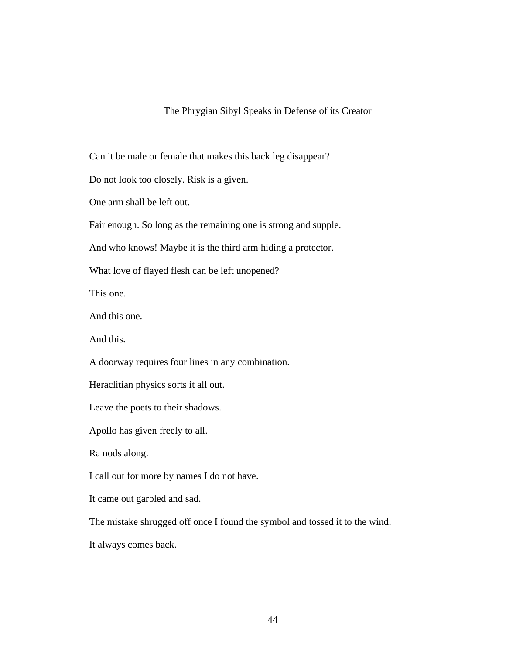#### The Phrygian Sibyl Speaks in Defense of its Creator

Can it be male or female that makes this back leg disappear?

Do not look too closely. Risk is a given.

One arm shall be left out.

Fair enough. So long as the remaining one is strong and supple.

And who knows! Maybe it is the third arm hiding a protector.

What love of flayed flesh can be left unopened?

This one.

And this one.

And this.

A doorway requires four lines in any combination.

Heraclitian physics sorts it all out.

Leave the poets to their shadows.

Apollo has given freely to all.

Ra nods along.

I call out for more by names I do not have.

It came out garbled and sad.

The mistake shrugged off once I found the symbol and tossed it to the wind.

It always comes back.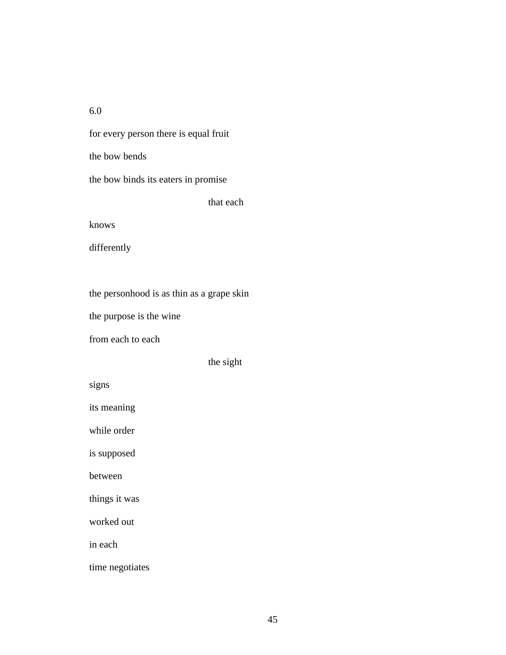6.0

for every person there is equal fruit the bow bends the bow binds its eaters in promise that each

knows

differently

the personhood is as thin as a grape skin

the purpose is the wine

from each to each

the sight

signs

its meaning

while order

is supposed

between

things it was

worked out

in each

time negotiates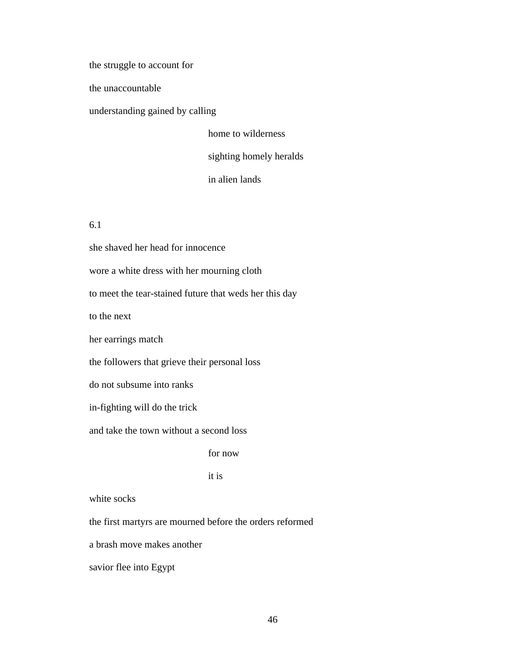the struggle to account for

the unaccountable

understanding gained by calling

home to wilderness sighting homely heralds in alien lands

6.1

she shaved her head for innocence wore a white dress with her mourning cloth to meet the tear-stained future that weds her this day to the next her earrings match the followers that grieve their personal loss do not subsume into ranks in-fighting will do the trick and take the town without a second loss for now it is

white socks

the first martyrs are mourned before the orders reformed

a brash move makes another

savior flee into Egypt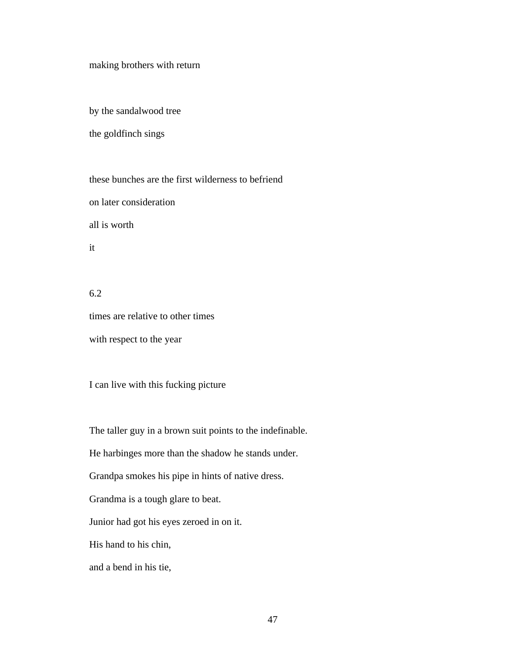making brothers with return

by the sandalwood tree

the goldfinch sings

these bunches are the first wilderness to befriend on later consideration all is worth it

6.2 times are relative to other times with respect to the year

I can live with this fucking picture

The taller guy in a brown suit points to the indefinable.

He harbinges more than the shadow he stands under.

Grandpa smokes his pipe in hints of native dress.

Grandma is a tough glare to beat.

Junior had got his eyes zeroed in on it.

His hand to his chin,

and a bend in his tie,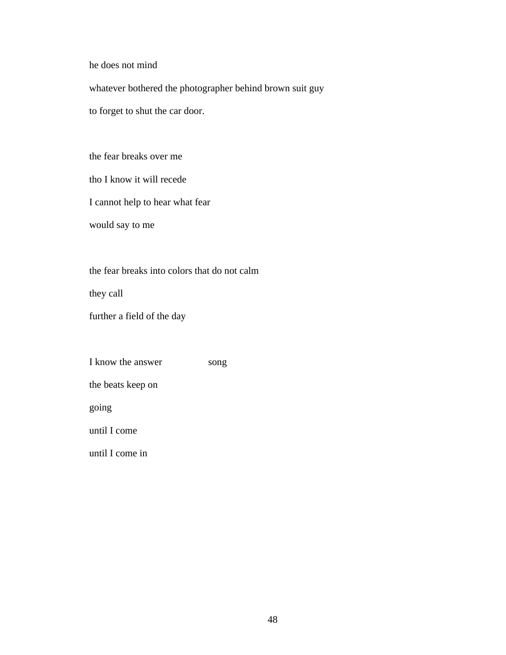he does not mind

whatever bothered the photographer behind brown suit guy

to forget to shut the car door.

the fear breaks over me

tho I know it will recede

I cannot help to hear what fear

would say to me

the fear breaks into colors that do not calm

they call

further a field of the day

I know the answer song

the beats keep on

going

until I come

until I come in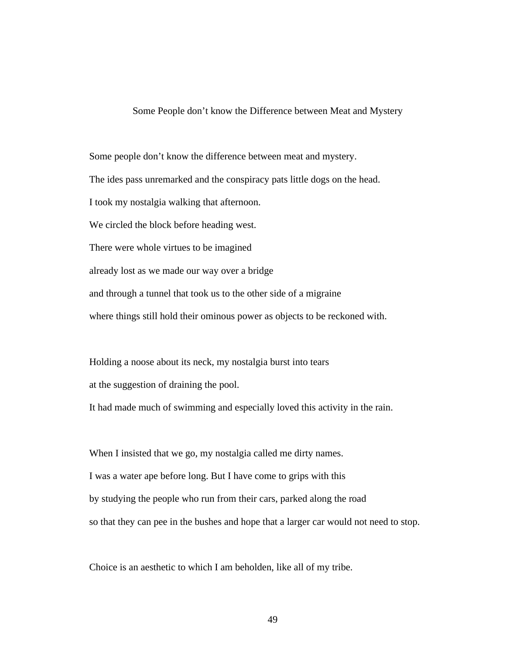Some People don't know the Difference between Meat and Mystery

Some people don't know the difference between meat and mystery. The ides pass unremarked and the conspiracy pats little dogs on the head. I took my nostalgia walking that afternoon. We circled the block before heading west. There were whole virtues to be imagined already lost as we made our way over a bridge and through a tunnel that took us to the other side of a migraine where things still hold their ominous power as objects to be reckoned with.

Holding a noose about its neck, my nostalgia burst into tears at the suggestion of draining the pool. It had made much of swimming and especially loved this activity in the rain.

When I insisted that we go, my nostalgia called me dirty names. I was a water ape before long. But I have come to grips with this by studying the people who run from their cars, parked along the road so that they can pee in the bushes and hope that a larger car would not need to stop.

Choice is an aesthetic to which I am beholden, like all of my tribe.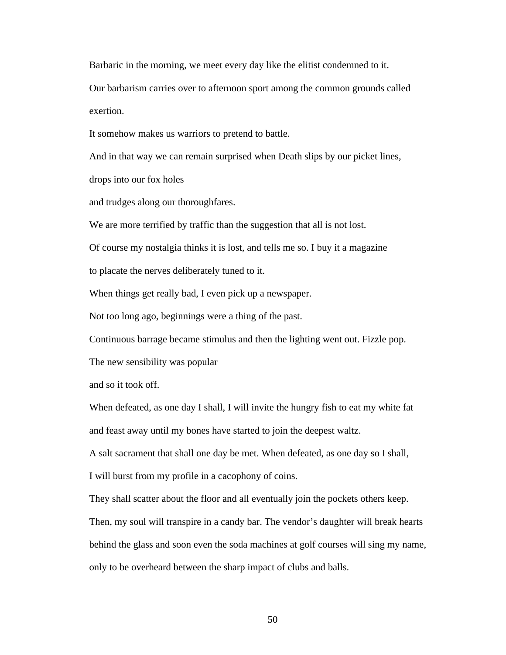Barbaric in the morning, we meet every day like the elitist condemned to it.

Our barbarism carries over to afternoon sport among the common grounds called exertion.

It somehow makes us warriors to pretend to battle.

And in that way we can remain surprised when Death slips by our picket lines,

drops into our fox holes

and trudges along our thoroughfares.

We are more terrified by traffic than the suggestion that all is not lost.

Of course my nostalgia thinks it is lost, and tells me so. I buy it a magazine

to placate the nerves deliberately tuned to it.

When things get really bad, I even pick up a newspaper.

Not too long ago, beginnings were a thing of the past.

Continuous barrage became stimulus and then the lighting went out. Fizzle pop.

The new sensibility was popular

and so it took off.

When defeated, as one day I shall, I will invite the hungry fish to eat my white fat and feast away until my bones have started to join the deepest waltz.

A salt sacrament that shall one day be met. When defeated, as one day so I shall,

I will burst from my profile in a cacophony of coins.

They shall scatter about the floor and all eventually join the pockets others keep. Then, my soul will transpire in a candy bar. The vendor's daughter will break hearts behind the glass and soon even the soda machines at golf courses will sing my name, only to be overheard between the sharp impact of clubs and balls.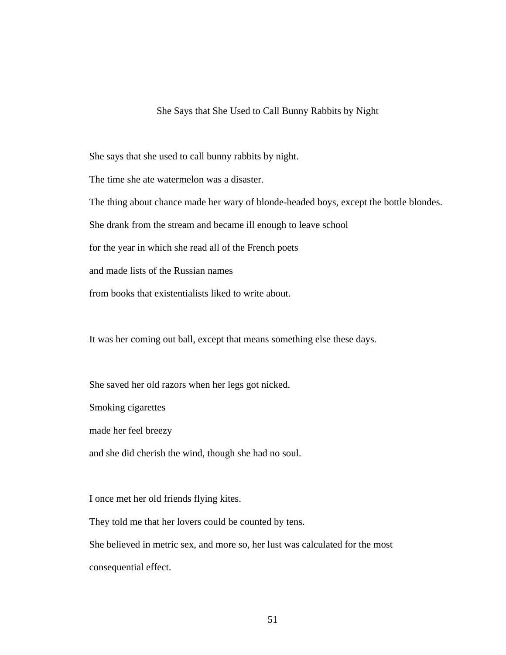#### She Says that She Used to Call Bunny Rabbits by Night

She says that she used to call bunny rabbits by night.

The time she ate watermelon was a disaster.

The thing about chance made her wary of blonde-headed boys, except the bottle blondes.

She drank from the stream and became ill enough to leave school

for the year in which she read all of the French poets

and made lists of the Russian names

from books that existentialists liked to write about.

It was her coming out ball, except that means something else these days.

She saved her old razors when her legs got nicked.

Smoking cigarettes

made her feel breezy

and she did cherish the wind, though she had no soul.

I once met her old friends flying kites.

They told me that her lovers could be counted by tens.

She believed in metric sex, and more so, her lust was calculated for the most consequential effect.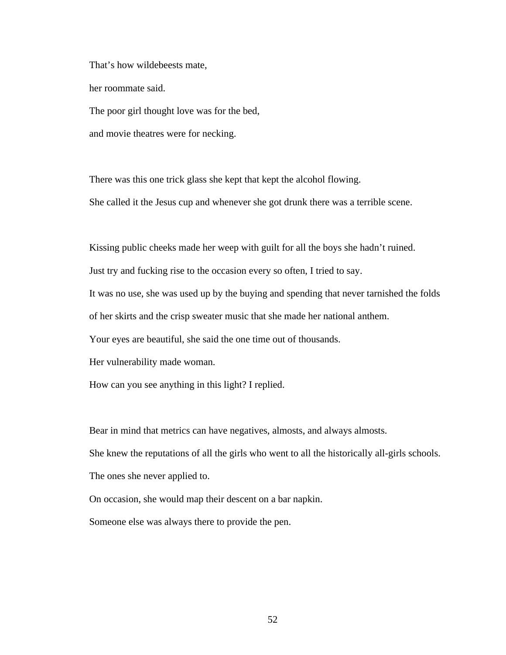That's how wildebeests mate,

her roommate said.

The poor girl thought love was for the bed,

and movie theatres were for necking.

There was this one trick glass she kept that kept the alcohol flowing.

She called it the Jesus cup and whenever she got drunk there was a terrible scene.

Kissing public cheeks made her weep with guilt for all the boys she hadn't ruined.

Just try and fucking rise to the occasion every so often, I tried to say.

It was no use, she was used up by the buying and spending that never tarnished the folds

of her skirts and the crisp sweater music that she made her national anthem.

Your eyes are beautiful, she said the one time out of thousands.

Her vulnerability made woman.

How can you see anything in this light? I replied.

Bear in mind that metrics can have negatives, almosts, and always almosts.

She knew the reputations of all the girls who went to all the historically all-girls schools.

The ones she never applied to.

On occasion, she would map their descent on a bar napkin.

Someone else was always there to provide the pen.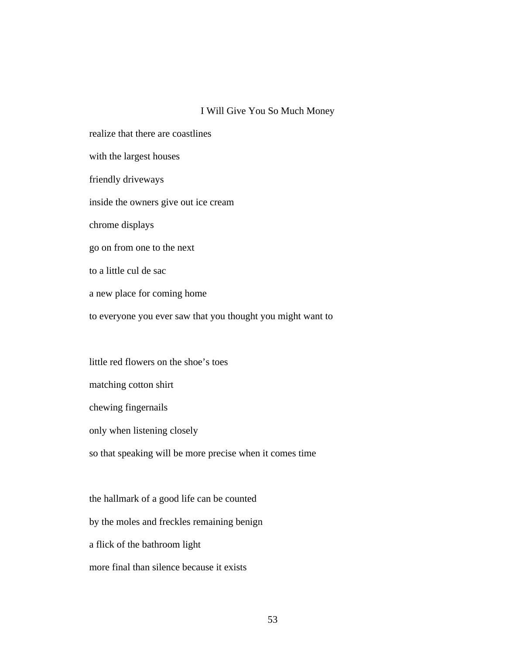#### I Will Give You So Much Money

realize that there are coastlines with the largest houses friendly driveways inside the owners give out ice cream chrome displays go on from one to the next to a little cul de sac a new place for coming home to everyone you ever saw that you thought you might want to

little red flowers on the shoe's toes matching cotton shirt chewing fingernails only when listening closely so that speaking will be more precise when it comes time

the hallmark of a good life can be counted by the moles and freckles remaining benign a flick of the bathroom light more final than silence because it exists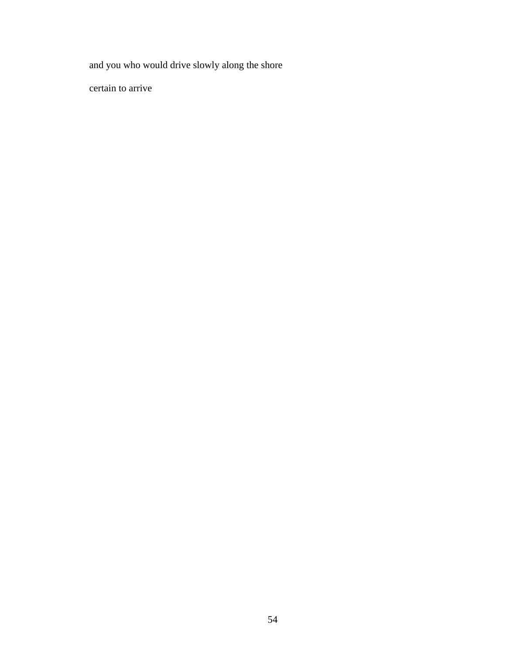and you who would drive slowly along the shore

certain to arrive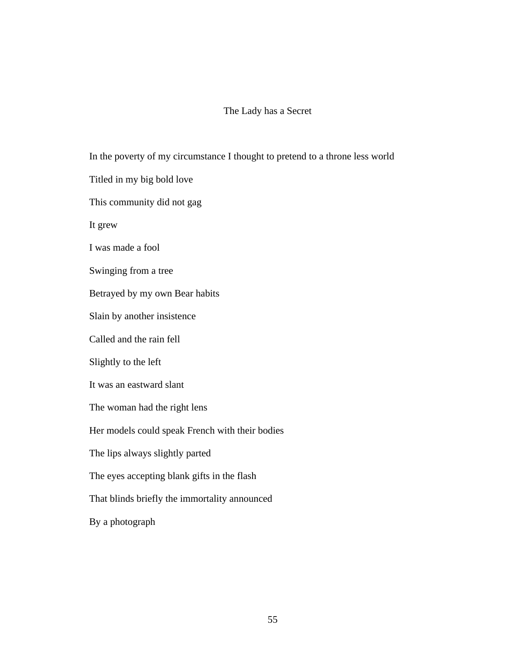## The Lady has a Secret

In the poverty of my circumstance I thought to pretend to a throne less world Titled in my big bold love This community did not gag It grew I was made a fool Swinging from a tree Betrayed by my own Bear habits Slain by another insistence Called and the rain fell Slightly to the left It was an eastward slant The woman had the right lens Her models could speak French with their bodies The lips always slightly parted The eyes accepting blank gifts in the flash That blinds briefly the immortality announced By a photograph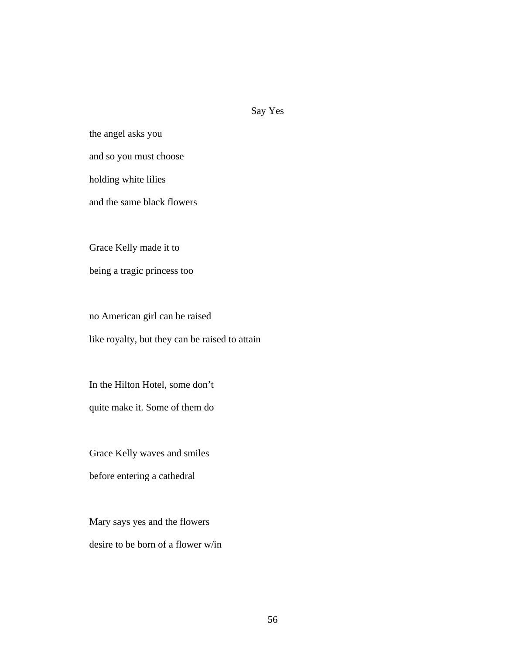## Say Yes

the angel asks you and so you must choose holding white lilies

and the same black flowers

Grace Kelly made it to

being a tragic princess too

no American girl can be raised like royalty, but they can be raised to attain

In the Hilton Hotel, some don't

quite make it. Some of them do

Grace Kelly waves and smiles

before entering a cathedral

Mary says yes and the flowers desire to be born of a flower w/in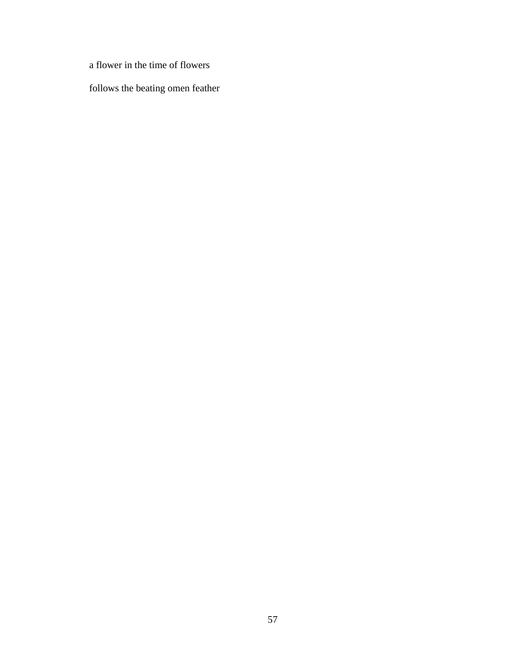a flower in the time of flowers

follows the beating omen feather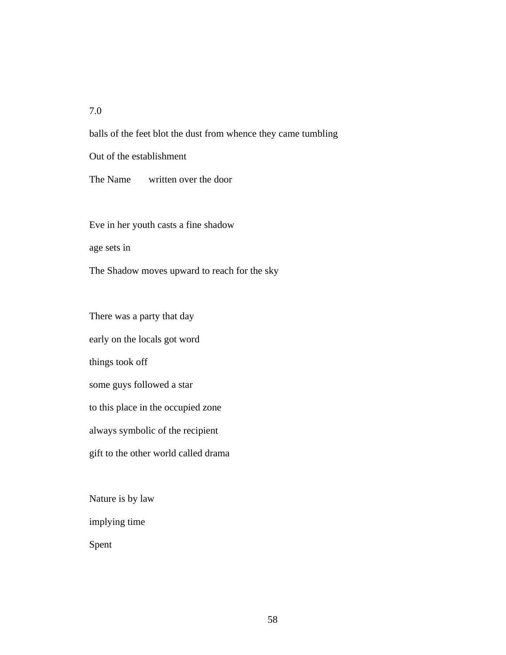### 7.0

balls of the feet blot the dust from whence they came tumbling

Out of the establishment

The Name written over the door

Eve in her youth casts a fine shadow

age sets in

The Shadow moves upward to reach for the sky

There was a party that day

early on the locals got word

things took off

some guys followed a star

to this place in the occupied zone

always symbolic of the recipient

gift to the other world called drama

Nature is by law

implying time

Spent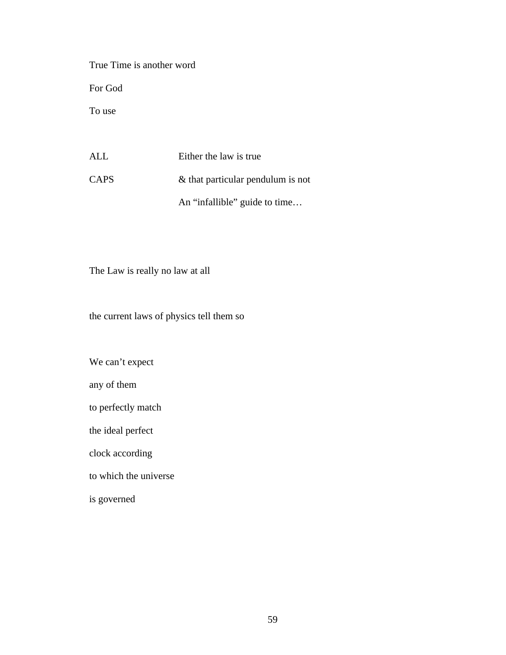True Time is another word For God To use ALL Either the law is true

CAPS & that particular pendulum is not An "infallible" guide to time…

The Law is really no law at all

the current laws of physics tell them so

We can't expect

any of them

to perfectly match

the ideal perfect

clock according

to which the universe

is governed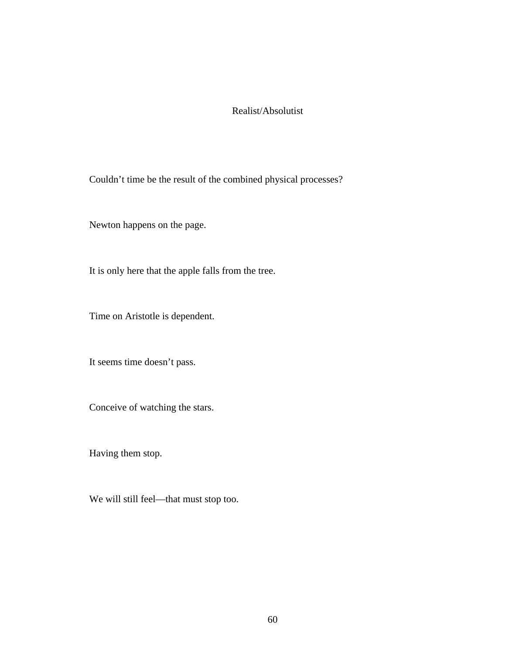## Realist/Absolutist

Couldn't time be the result of the combined physical processes?

Newton happens on the page.

It is only here that the apple falls from the tree.

Time on Aristotle is dependent.

It seems time doesn't pass.

Conceive of watching the stars.

Having them stop.

We will still feel—that must stop too.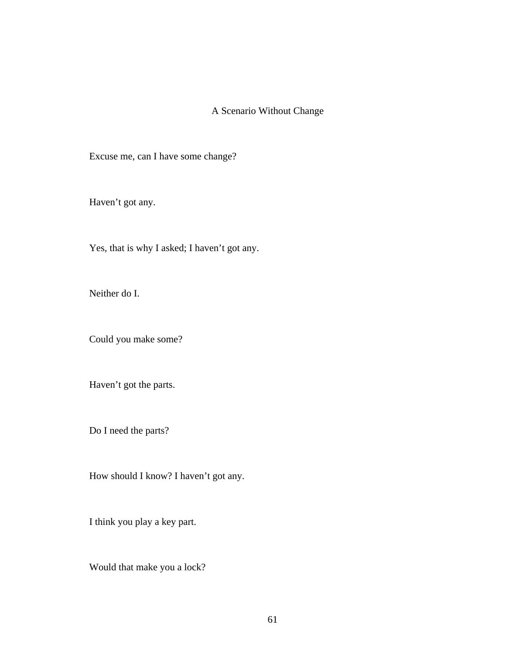## A Scenario Without Change

Excuse me, can I have some change?

Haven't got any.

Yes, that is why I asked; I haven't got any.

Neither do I.

Could you make some?

Haven't got the parts.

Do I need the parts?

How should I know? I haven't got any.

I think you play a key part.

Would that make you a lock?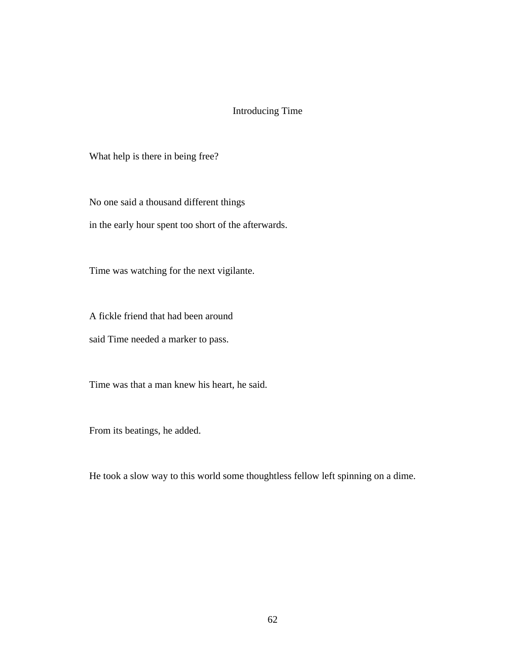## Introducing Time

What help is there in being free?

No one said a thousand different things

in the early hour spent too short of the afterwards.

Time was watching for the next vigilante.

A fickle friend that had been around

said Time needed a marker to pass.

Time was that a man knew his heart, he said.

From its beatings, he added.

He took a slow way to this world some thoughtless fellow left spinning on a dime.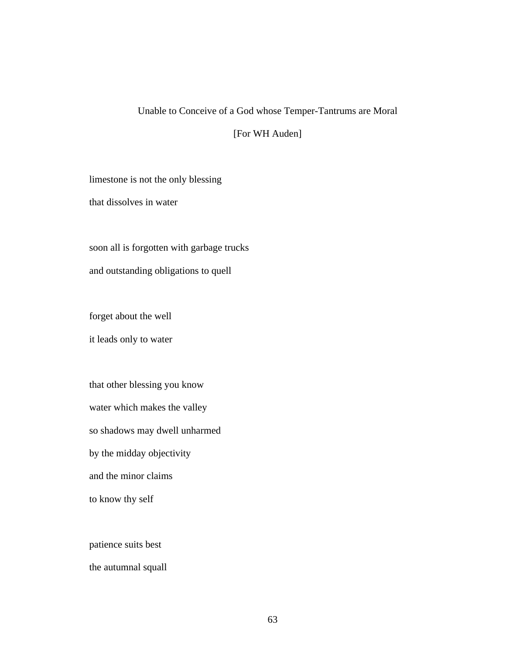# Unable to Conceive of a God whose Temper-Tantrums are Moral

[For WH Auden]

limestone is not the only blessing

that dissolves in water

soon all is forgotten with garbage trucks and outstanding obligations to quell

forget about the well

it leads only to water

that other blessing you know water which makes the valley so shadows may dwell unharmed by the midday objectivity and the minor claims to know thy self

patience suits best

the autumnal squall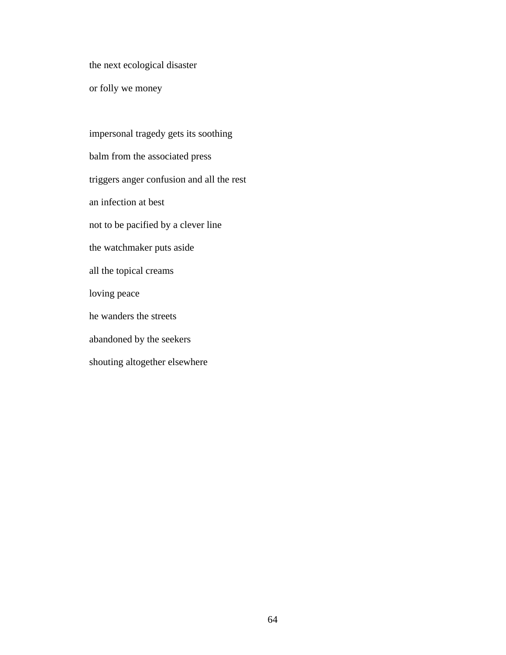the next ecological disaster

or folly we money

impersonal tragedy gets its soothing balm from the associated press triggers anger confusion and all the rest an infection at best not to be pacified by a clever line the watchmaker puts aside all the topical creams loving peace he wanders the streets abandoned by the seekers shouting altogether elsewhere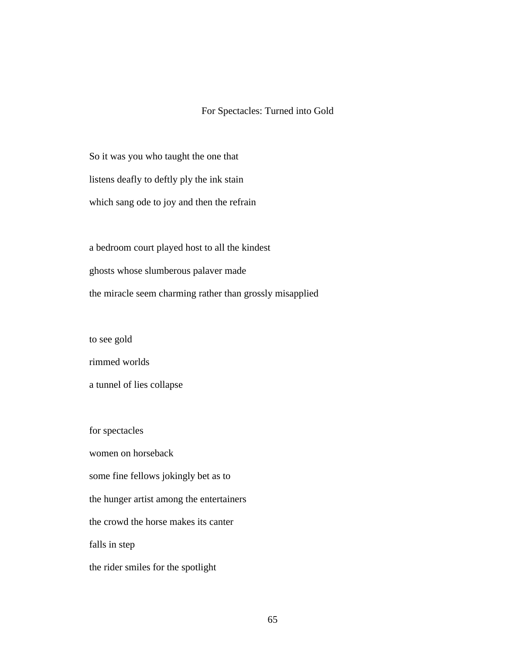## For Spectacles: Turned into Gold

So it was you who taught the one that listens deafly to deftly ply the ink stain which sang ode to joy and then the refrain

a bedroom court played host to all the kindest ghosts whose slumberous palaver made the miracle seem charming rather than grossly misapplied

to see gold

rimmed worlds

a tunnel of lies collapse

for spectacles

women on horseback

some fine fellows jokingly bet as to

the hunger artist among the entertainers

the crowd the horse makes its canter

falls in step

the rider smiles for the spotlight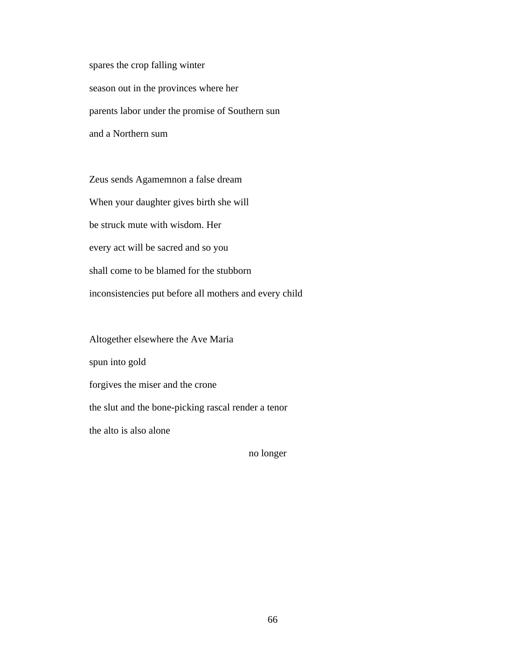spares the crop falling winter season out in the provinces where her parents labor under the promise of Southern sun and a Northern sum

Zeus sends Agamemnon a false dream When your daughter gives birth she will be struck mute with wisdom. Her every act will be sacred and so you shall come to be blamed for the stubborn inconsistencies put before all mothers and every child

Altogether elsewhere the Ave Maria spun into gold forgives the miser and the crone the slut and the bone-picking rascal render a tenor the alto is also alone

no longer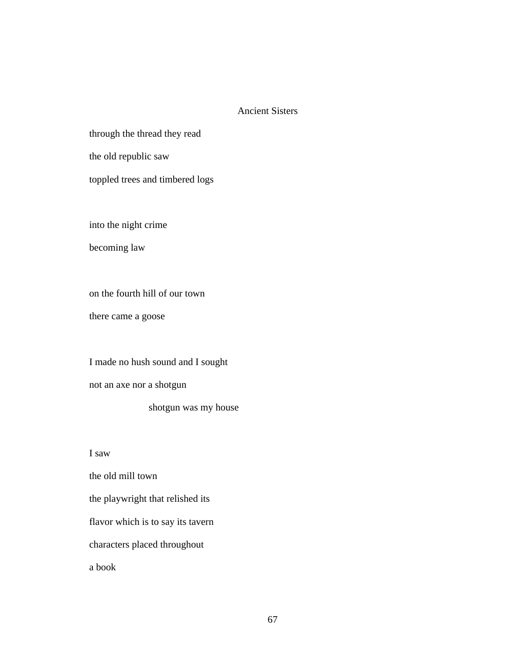#### Ancient Sisters

through the thread they read

the old republic saw

toppled trees and timbered logs

into the night crime

becoming law

on the fourth hill of our town

there came a goose

I made no hush sound and I sought not an axe nor a shotgun shotgun was my house

I saw

the old mill town the playwright that relished its flavor which is to say its tavern characters placed throughout a book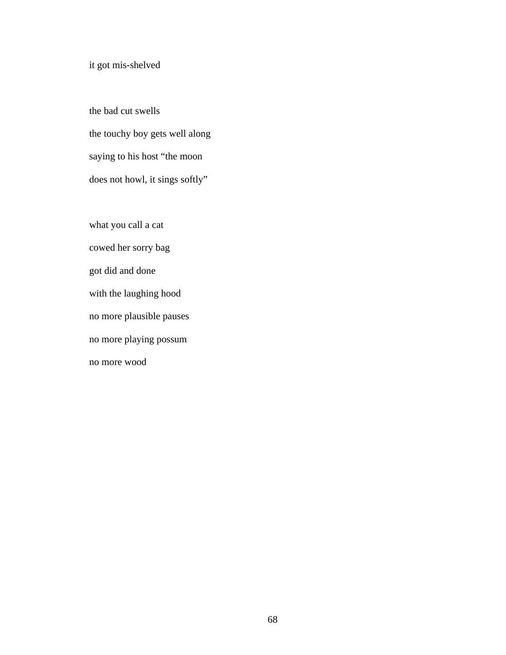# it got mis-shelved

the bad cut swells the touchy boy gets well along saying to his host "the moon does not howl, it sings softly"

what you call a cat cowed her sorry bag got did and done with the laughing hood no more plausible pauses no more playing possum no more wood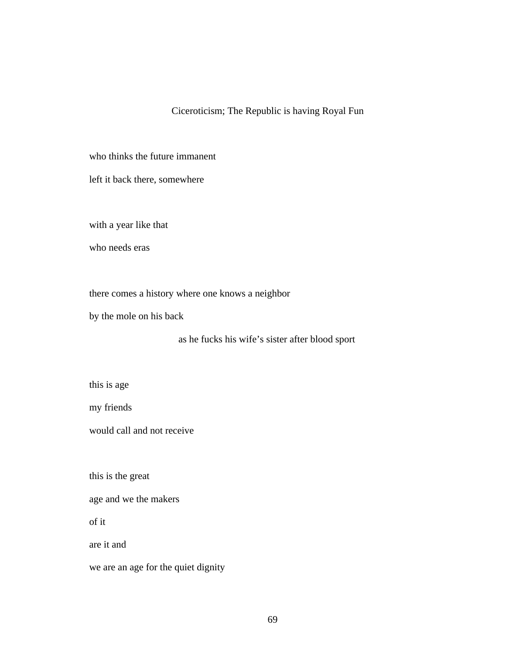### Ciceroticism; The Republic is having Royal Fun

who thinks the future immanent

left it back there, somewhere

with a year like that

who needs eras

there comes a history where one knows a neighbor

by the mole on his back

as he fucks his wife's sister after blood sport

this is age

my friends

would call and not receive

this is the great

age and we the makers

of it

are it and

we are an age for the quiet dignity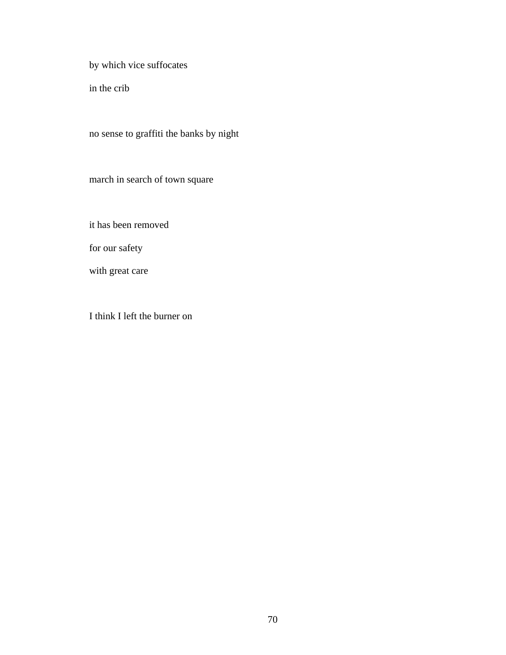by which vice suffocates

in the crib

no sense to graffiti the banks by night

march in search of town square

it has been removed

for our safety

with great care

I think I left the burner on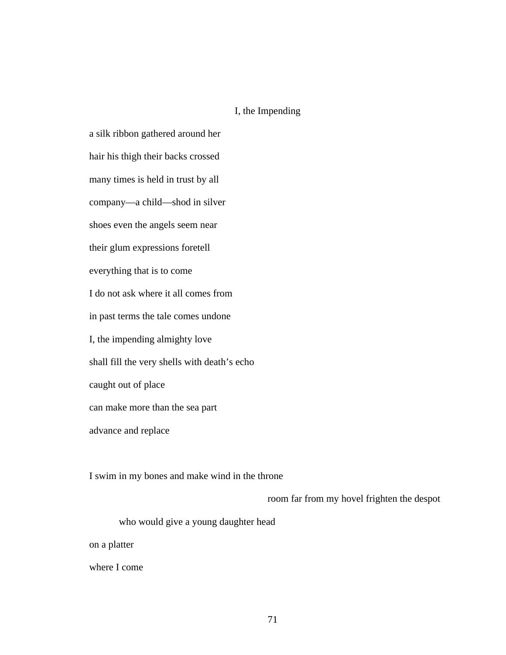# I, the Impending

a silk ribbon gathered around her hair his thigh their backs crossed many times is held in trust by all company—a child—shod in silver shoes even the angels seem near their glum expressions foretell everything that is to come I do not ask where it all comes from in past terms the tale comes undone I, the impending almighty love shall fill the very shells with death's echo caught out of place can make more than the sea part advance and replace

I swim in my bones and make wind in the throne

room far from my hovel frighten the despot

who would give a young daughter head

on a platter

where I come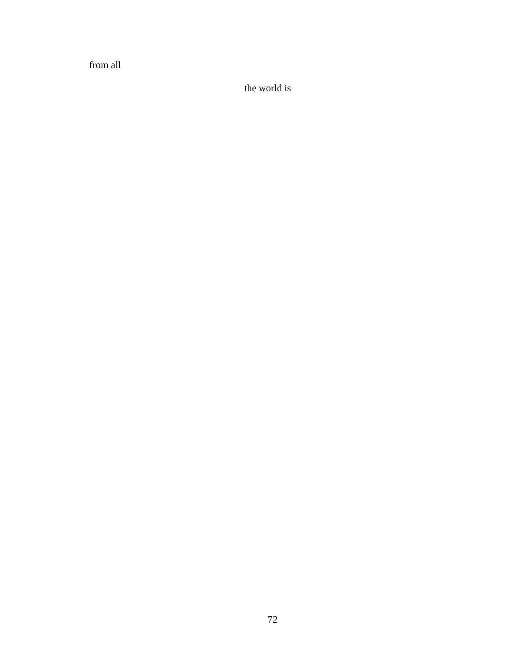from all

the world is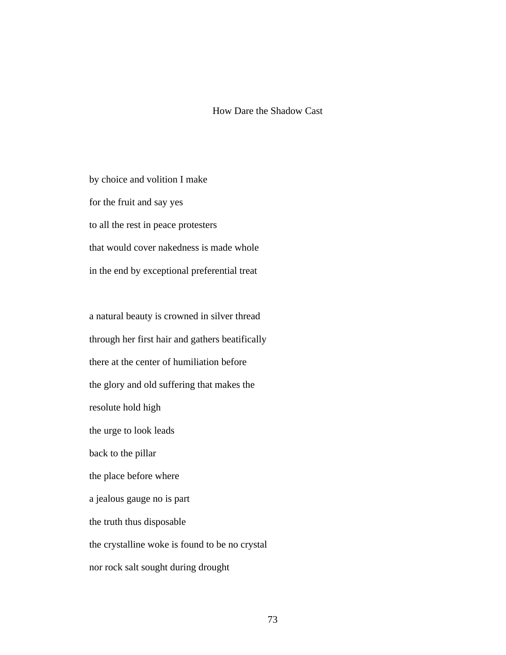### How Dare the Shadow Cast

by choice and volition I make for the fruit and say yes to all the rest in peace protesters that would cover nakedness is made whole in the end by exceptional preferential treat

a natural beauty is crowned in silver thread through her first hair and gathers beatifically there at the center of humiliation before the glory and old suffering that makes the resolute hold high the urge to look leads back to the pillar the place before where a jealous gauge no is part the truth thus disposable the crystalline woke is found to be no crystal nor rock salt sought during drought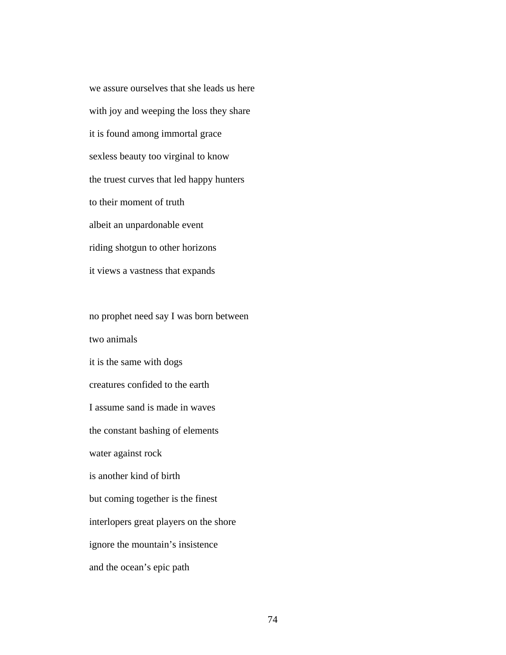we assure ourselves that she leads us here with joy and weeping the loss they share it is found among immortal grace sexless beauty too virginal to know the truest curves that led happy hunters to their moment of truth albeit an unpardonable event riding shotgun to other horizons it views a vastness that expands

no prophet need say I was born between two animals it is the same with dogs creatures confided to the earth I assume sand is made in waves the constant bashing of elements water against rock is another kind of birth but coming together is the finest interlopers great players on the shore ignore the mountain's insistence and the ocean's epic path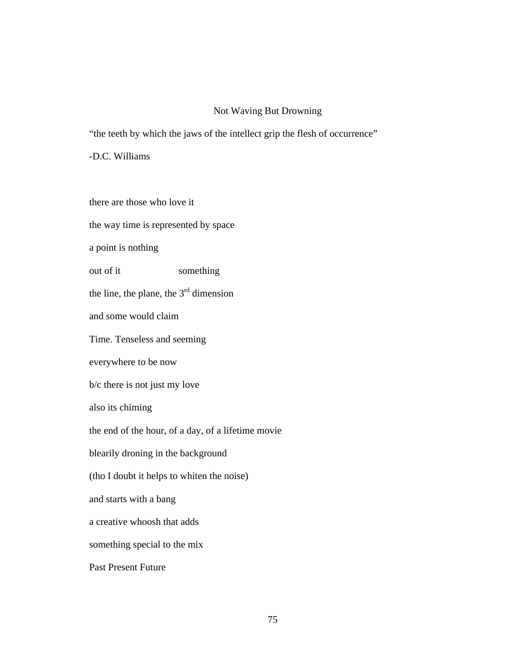# Not Waving But Drowning

"the teeth by which the jaws of the intellect grip the flesh of occurrence"

-D.C. Williams

there are those who love it the way time is represented by space a point is nothing out of it something the line, the plane, the  $3<sup>rd</sup>$  dimension and some would claim Time. Tenseless and seeming everywhere to be now b/c there is not just my love also its chiming the end of the hour, of a day, of a lifetime movie blearily droning in the background (tho I doubt it helps to whiten the noise) and starts with a bang a creative whoosh that adds something special to the mix Past Present Future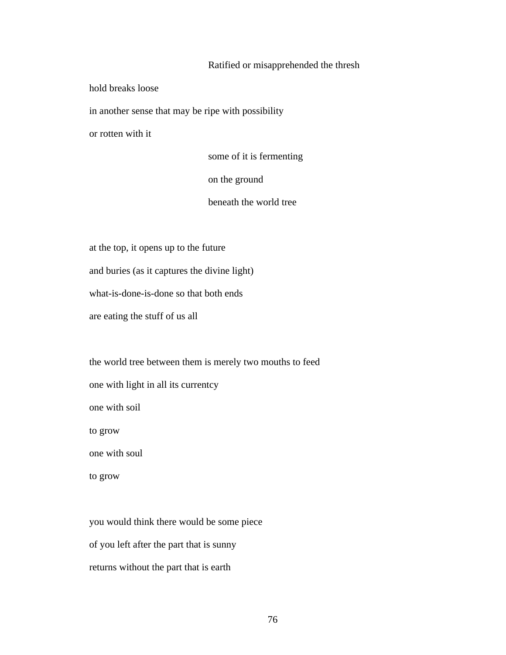### Ratified or misapprehended the thresh

hold breaks loose

in another sense that may be ripe with possibility

or rotten with it

some of it is fermenting on the ground beneath the world tree

at the top, it opens up to the future

and buries (as it captures the divine light)

what-is-done-is-done so that both ends

are eating the stuff of us all

the world tree between them is merely two mouths to feed one with light in all its currentcy one with soil to grow one with soul to grow

you would think there would be some piece of you left after the part that is sunny returns without the part that is earth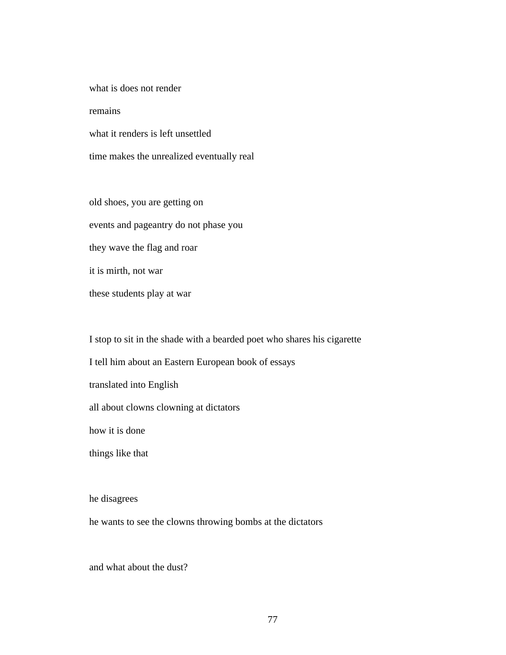what is does not render remains what it renders is left unsettled

time makes the unrealized eventually real

old shoes, you are getting on events and pageantry do not phase you they wave the flag and roar it is mirth, not war these students play at war

I stop to sit in the shade with a bearded poet who shares his cigarette I tell him about an Eastern European book of essays translated into English all about clowns clowning at dictators how it is done things like that

he disagrees

he wants to see the clowns throwing bombs at the dictators

and what about the dust?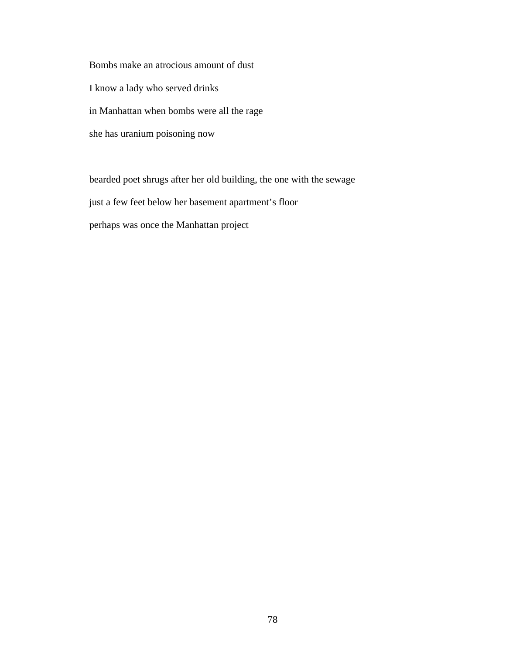Bombs make an atrocious amount of dust I know a lady who served drinks in Manhattan when bombs were all the rage she has uranium poisoning now

bearded poet shrugs after her old building, the one with the sewage just a few feet below her basement apartment's floor perhaps was once the Manhattan project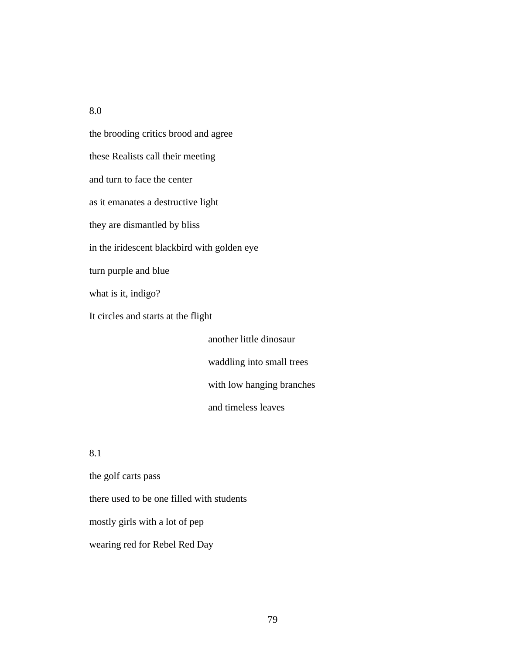8.0

the brooding critics brood and agree these Realists call their meeting and turn to face the center as it emanates a destructive light they are dismantled by bliss in the iridescent blackbird with golden eye turn purple and blue what is it, indigo? It circles and starts at the flight another little dinosaur

waddling into small trees with low hanging branches and timeless leaves

8.1

the golf carts pass there used to be one filled with students mostly girls with a lot of pep wearing red for Rebel Red Day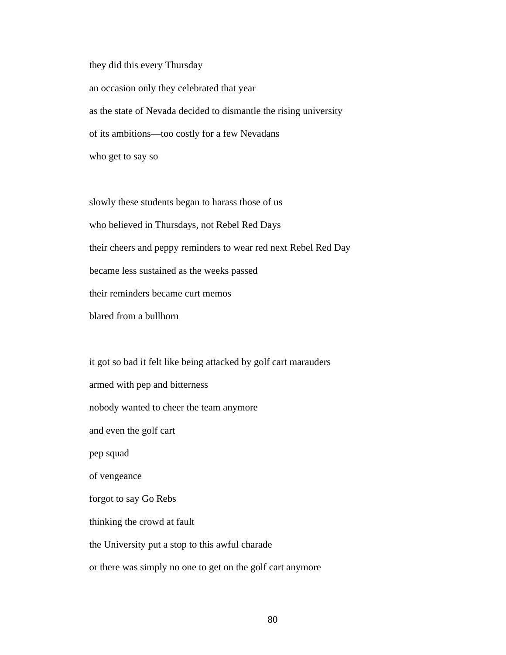they did this every Thursday an occasion only they celebrated that year as the state of Nevada decided to dismantle the rising university of its ambitions—too costly for a few Nevadans who get to say so

slowly these students began to harass those of us who believed in Thursdays, not Rebel Red Days their cheers and peppy reminders to wear red next Rebel Red Day became less sustained as the weeks passed their reminders became curt memos blared from a bullhorn

it got so bad it felt like being attacked by golf cart marauders armed with pep and bitterness nobody wanted to cheer the team anymore and even the golf cart pep squad of vengeance forgot to say Go Rebs thinking the crowd at fault the University put a stop to this awful charade or there was simply no one to get on the golf cart anymore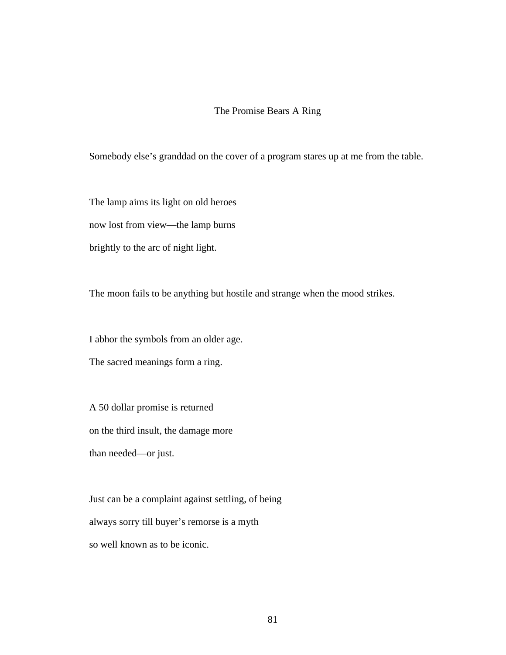#### The Promise Bears A Ring

Somebody else's granddad on the cover of a program stares up at me from the table.

The lamp aims its light on old heroes

now lost from view—the lamp burns

brightly to the arc of night light.

The moon fails to be anything but hostile and strange when the mood strikes.

I abhor the symbols from an older age.

The sacred meanings form a ring.

A 50 dollar promise is returned on the third insult, the damage more

than needed—or just.

Just can be a complaint against settling, of being always sorry till buyer's remorse is a myth so well known as to be iconic.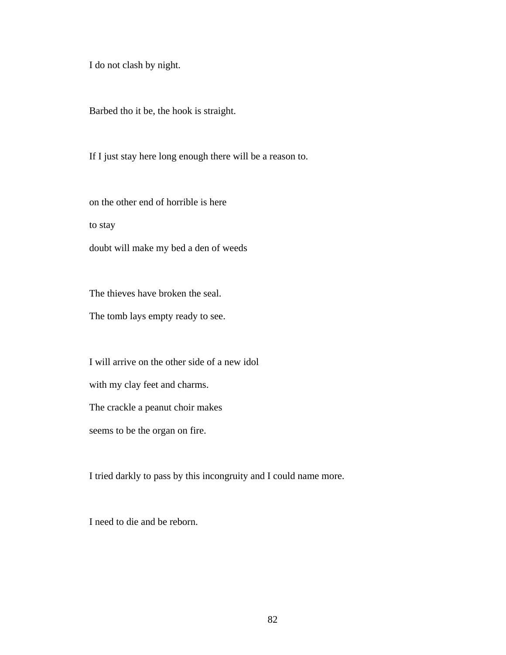I do not clash by night.

Barbed tho it be, the hook is straight.

If I just stay here long enough there will be a reason to.

on the other end of horrible is here

to stay

doubt will make my bed a den of weeds

The thieves have broken the seal.

The tomb lays empty ready to see.

I will arrive on the other side of a new idol

with my clay feet and charms.

The crackle a peanut choir makes

seems to be the organ on fire.

I tried darkly to pass by this incongruity and I could name more.

I need to die and be reborn.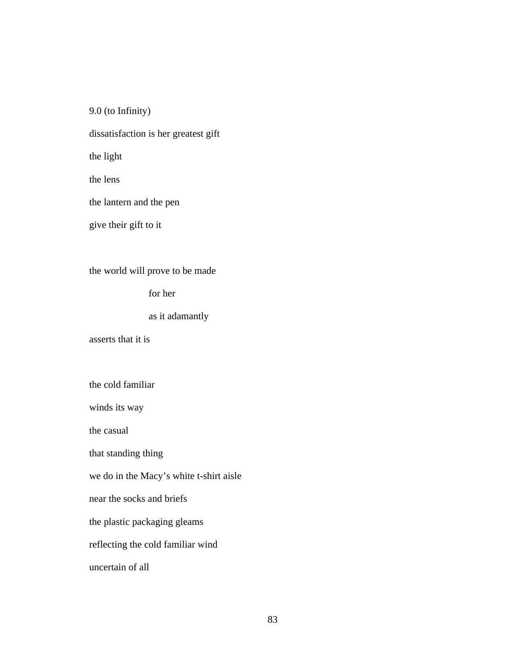9.0 (to Infinity)

dissatisfaction is her greatest gift

the light

the lens

the lantern and the pen

give their gift to it

the world will prove to be made

for her

as it adamantly

asserts that it is

the cold familiar

winds its way

the casual

that standing thing

we do in the Macy's white t-shirt aisle

near the socks and briefs

the plastic packaging gleams

reflecting the cold familiar wind

uncertain of all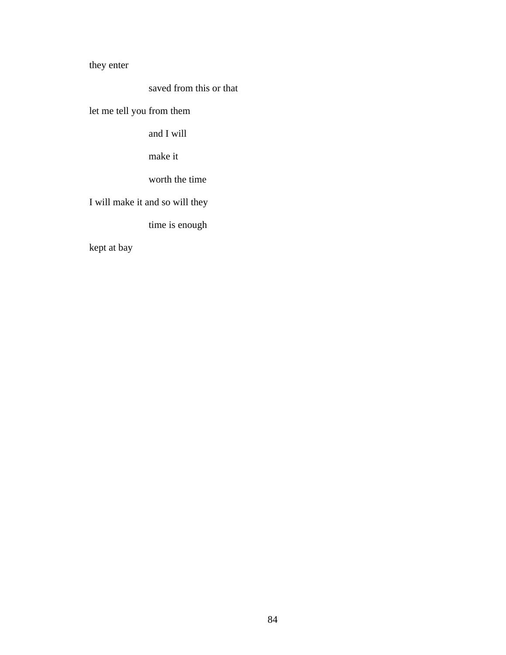they enter

saved from this or that

let me tell you from them

and I will

make it

worth the time

I will make it and so will they

time is enough

kept at bay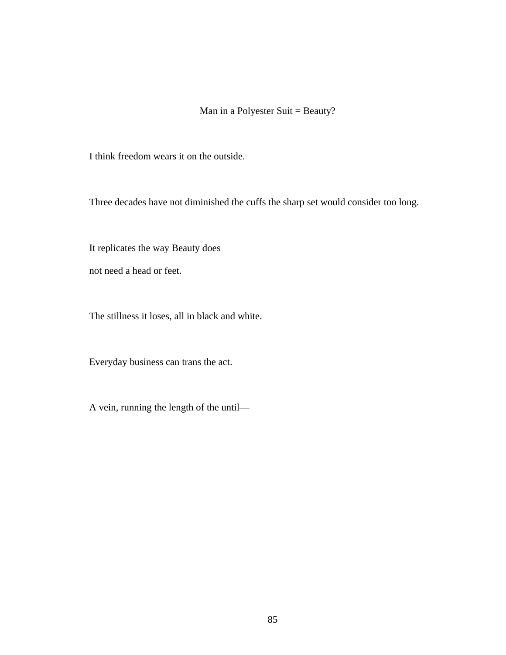Man in a Polyester Suit = Beauty?

I think freedom wears it on the outside.

Three decades have not diminished the cuffs the sharp set would consider too long.

It replicates the way Beauty does

not need a head or feet.

The stillness it loses, all in black and white.

Everyday business can trans the act.

A vein, running the length of the until—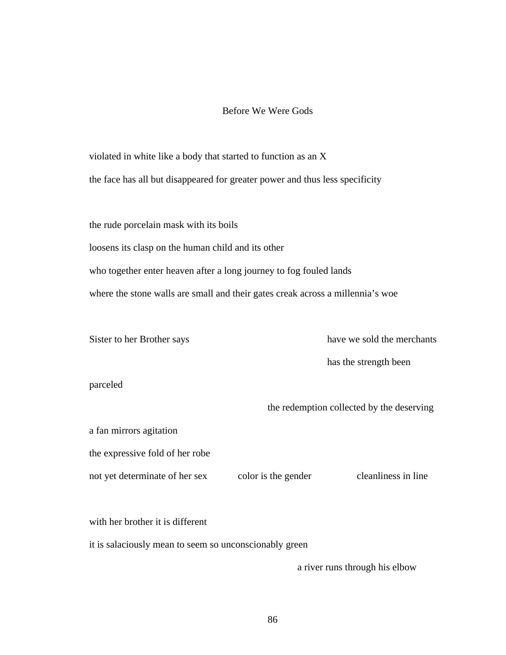### Before We Were Gods

violated in white like a body that started to function as an X the face has all but disappeared for greater power and thus less specificity

the rude porcelain mask with its boils

loosens its clasp on the human child and its other

who together enter heaven after a long journey to fog fouled lands

where the stone walls are small and their gates creak across a millennia's woe

Sister to her Brother says have we sold the merchants

has the strength been

parceled

the redemption collected by the deserving

the expressive fold of her robe

a fan mirrors agitation

not yet determinate of her sex color is the gender cleanliness in line

with her brother it is different

it is salaciously mean to seem so unconscionably green

a river runs through his elbow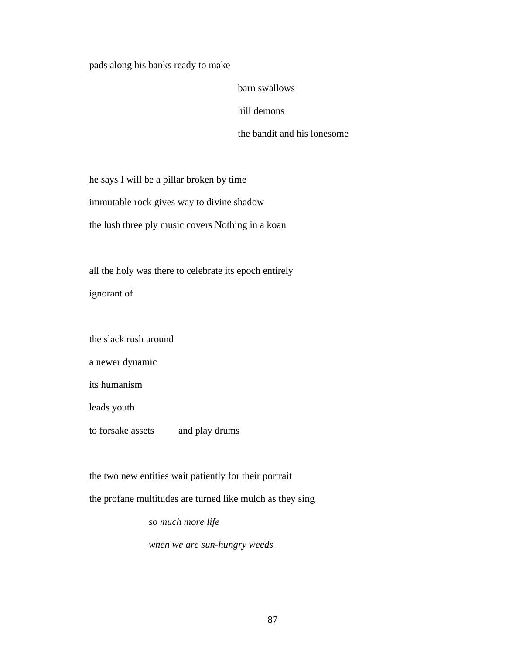pads along his banks ready to make

barn swallows

hill demons

the bandit and his lonesome

he says I will be a pillar broken by time

immutable rock gives way to divine shadow

the lush three ply music covers Nothing in a koan

all the holy was there to celebrate its epoch entirely ignorant of

the slack rush around

a newer dynamic

its humanism

leads youth

to forsake assets and play drums

the two new entities wait patiently for their portrait

the profane multitudes are turned like mulch as they sing

*so much more life*

*when we are sun-hungry weeds*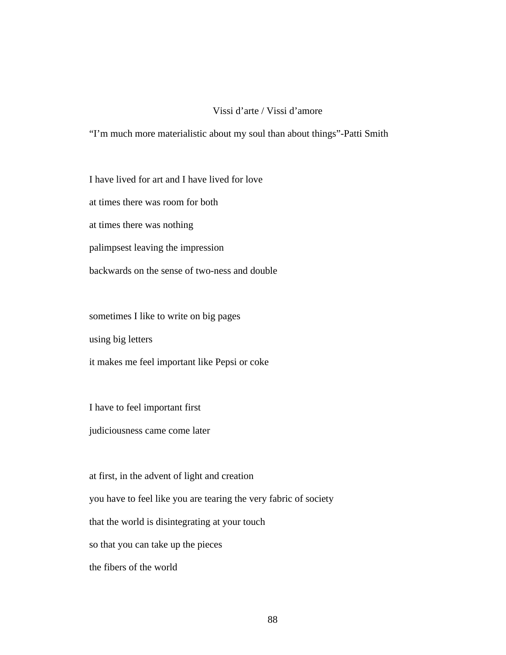### Vissi d'arte / Vissi d'amore

"I'm much more materialistic about my soul than about things"-Patti Smith

I have lived for art and I have lived for love

at times there was room for both

at times there was nothing

palimpsest leaving the impression

backwards on the sense of two-ness and double

sometimes I like to write on big pages

using big letters

it makes me feel important like Pepsi or coke

I have to feel important first

judiciousness came come later

at first, in the advent of light and creation you have to feel like you are tearing the very fabric of society that the world is disintegrating at your touch so that you can take up the pieces the fibers of the world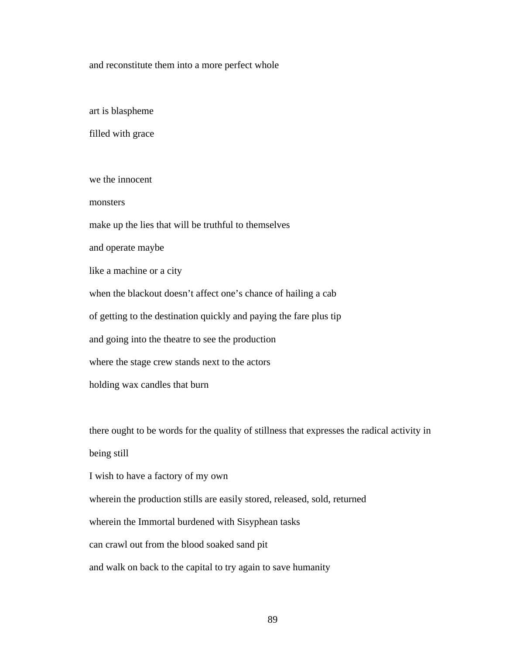and reconstitute them into a more perfect whole

art is blaspheme

filled with grace

we the innocent

monsters

make up the lies that will be truthful to themselves

and operate maybe

like a machine or a city

when the blackout doesn't affect one's chance of hailing a cab

of getting to the destination quickly and paying the fare plus tip

and going into the theatre to see the production

where the stage crew stands next to the actors

holding wax candles that burn

there ought to be words for the quality of stillness that expresses the radical activity in being still

I wish to have a factory of my own

wherein the production stills are easily stored, released, sold, returned

wherein the Immortal burdened with Sisyphean tasks

can crawl out from the blood soaked sand pit

and walk on back to the capital to try again to save humanity